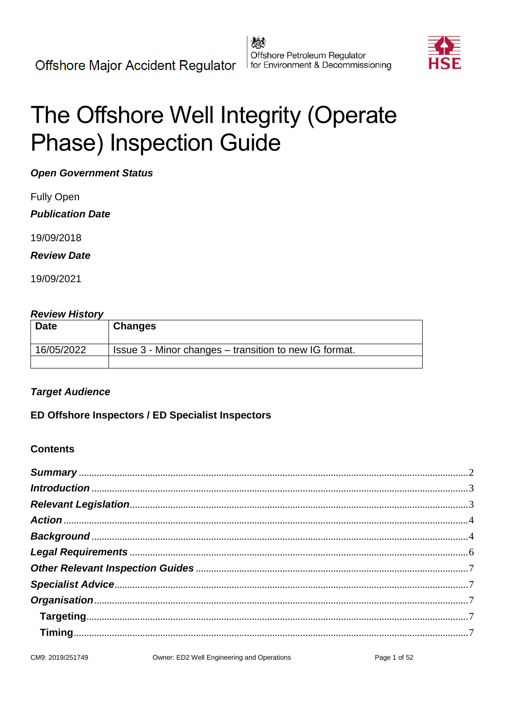

# The Offshore Well Integrity (Operate **Phase) Inspection Guide**

**Open Government Status** 

**Fully Open** 

**Publication Date** 

19/09/2018

**Review Date** 

19/09/2021

#### **Review History**

| <b>Date</b> | <b>Changes</b>                                         |
|-------------|--------------------------------------------------------|
| 16/05/2022  | Issue 3 - Minor changes – transition to new IG format. |
|             |                                                        |

#### **Target Audience**

ED Offshore Inspectors / ED Specialist Inspectors

#### **Contents**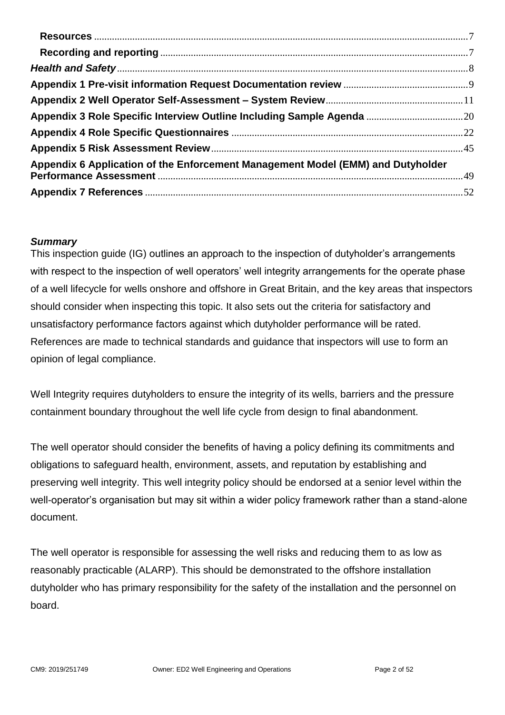| Appendix 6 Application of the Enforcement Management Model (EMM) and Dutyholder |  |
|---------------------------------------------------------------------------------|--|
|                                                                                 |  |

#### <span id="page-1-0"></span>*Summary*

This inspection guide (IG) outlines an approach to the inspection of dutyholder's arrangements with respect to the inspection of well operators' well integrity arrangements for the operate phase of a well lifecycle for wells onshore and offshore in Great Britain, and the key areas that inspectors should consider when inspecting this topic. It also sets out the criteria for satisfactory and unsatisfactory performance factors against which dutyholder performance will be rated. References are made to technical standards and guidance that inspectors will use to form an opinion of legal compliance.

Well Integrity requires dutyholders to ensure the integrity of its wells, barriers and the pressure containment boundary throughout the well life cycle from design to final abandonment.

The well operator should consider the benefits of having a policy defining its commitments and obligations to safeguard health, environment, assets, and reputation by establishing and preserving well integrity. This well integrity policy should be endorsed at a senior level within the well-operator's organisation but may sit within a wider policy framework rather than a stand-alone document.

The well operator is responsible for assessing the well risks and reducing them to as low as reasonably practicable (ALARP). This should be demonstrated to the offshore installation dutyholder who has primary responsibility for the safety of the installation and the personnel on board.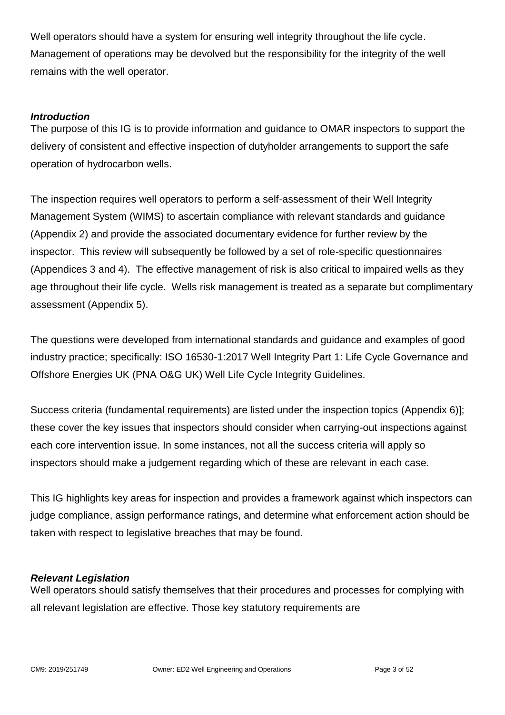Well operators should have a system for ensuring well integrity throughout the life cycle. Management of operations may be devolved but the responsibility for the integrity of the well remains with the well operator.

#### <span id="page-2-0"></span>*Introduction*

The purpose of this IG is to provide information and guidance to OMAR inspectors to support the delivery of consistent and effective inspection of dutyholder arrangements to support the safe operation of hydrocarbon wells.

The inspection requires well operators to perform a self-assessment of their Well Integrity Management System (WIMS) to ascertain compliance with relevant standards and guidance (Appendix 2) and provide the associated documentary evidence for further review by the inspector. This review will subsequently be followed by a set of role-specific questionnaires (Appendices 3 and 4). The effective management of risk is also critical to impaired wells as they age throughout their life cycle. Wells risk management is treated as a separate but complimentary assessment (Appendix 5).

The questions were developed from international standards and guidance and examples of good industry practice; specifically: ISO 16530-1:2017 Well Integrity Part 1: Life Cycle Governance and Offshore Energies UK (PNA O&G UK) Well Life Cycle Integrity Guidelines.

Success criteria (fundamental requirements) are listed under the inspection topics (Appendix 6)]; these cover the key issues that inspectors should consider when carrying-out inspections against each core intervention issue. In some instances, not all the success criteria will apply so inspectors should make a judgement regarding which of these are relevant in each case.

This IG highlights key areas for inspection and provides a framework against which inspectors can judge compliance, assign performance ratings, and determine what enforcement action should be taken with respect to legislative breaches that may be found.

#### <span id="page-2-1"></span>*Relevant Legislation*

Well operators should satisfy themselves that their procedures and processes for complying with all relevant legislation are effective. Those key statutory requirements are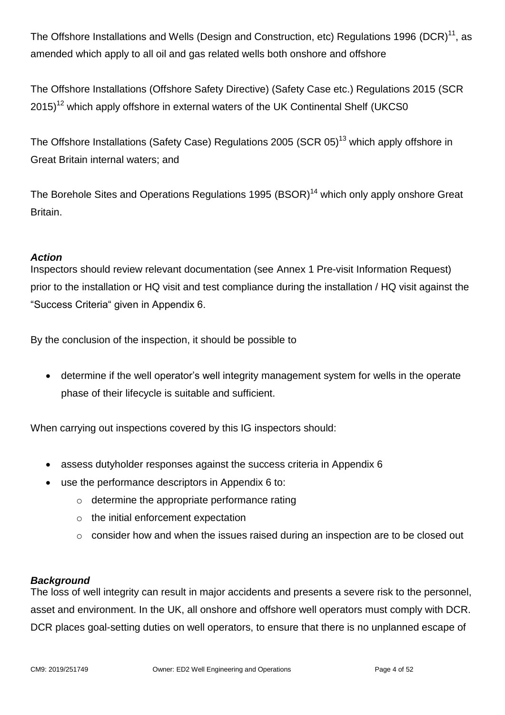The Offshore Installations and Wells (Design and Construction, etc) Regulations 1996 (DCR)<sup>11</sup>, as amended which apply to all oil and gas related wells both onshore and offshore

The Offshore Installations (Offshore Safety Directive) (Safety Case etc.) Regulations 2015 (SCR  $2015$ <sup>12</sup> which apply offshore in external waters of the UK Continental Shelf (UKCS0)

The Offshore Installations (Safety Case) Regulations 2005 (SCR 05)<sup>13</sup> which apply offshore in Great Britain internal waters; and

The Borehole Sites and Operations Regulations 1995  $(BSOR)^{14}$  which only apply onshore Great Britain.

#### <span id="page-3-0"></span>*Action*

Inspectors should review relevant documentation (see Annex 1 Pre-visit Information Request) prior to the installation or HQ visit and test compliance during the installation / HQ visit against the "Success Criteria" given in Appendix 6.

By the conclusion of the inspection, it should be possible to

 determine if the well operator's well integrity management system for wells in the operate phase of their lifecycle is suitable and sufficient.

When carrying out inspections covered by this IG inspectors should:

- assess dutyholder responses against the success criteria in Appendix 6
- use the performance descriptors in Appendix 6 to:
	- o determine the appropriate performance rating
	- o the initial enforcement expectation
	- $\circ$  consider how and when the issues raised during an inspection are to be closed out

#### <span id="page-3-1"></span>*Background*

The loss of well integrity can result in major accidents and presents a severe risk to the personnel, asset and environment. In the UK, all onshore and offshore well operators must comply with DCR. DCR places goal-setting duties on well operators, to ensure that there is no unplanned escape of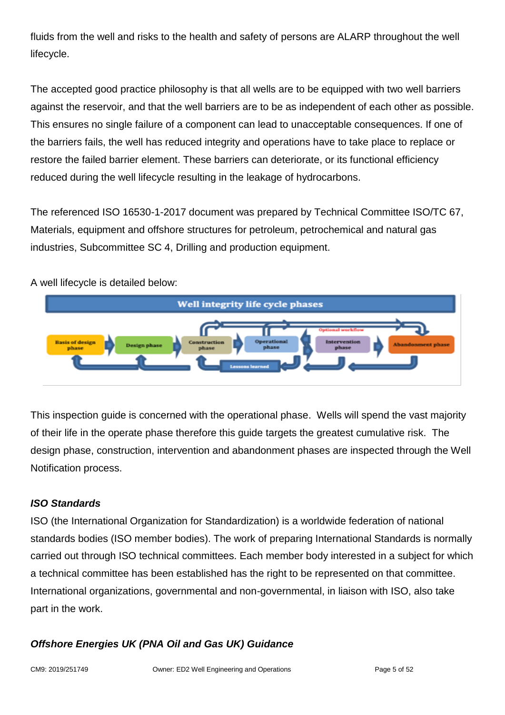fluids from the well and risks to the health and safety of persons are ALARP throughout the well lifecycle.

The accepted good practice philosophy is that all wells are to be equipped with two well barriers against the reservoir, and that the well barriers are to be as independent of each other as possible. This ensures no single failure of a component can lead to unacceptable consequences. If one of the barriers fails, the well has reduced integrity and operations have to take place to replace or restore the failed barrier element. These barriers can deteriorate, or its functional efficiency reduced during the well lifecycle resulting in the leakage of hydrocarbons.

The referenced ISO 16530-1-2017 document was prepared by Technical Committee ISO/TC 67, Materials, equipment and offshore structures for petroleum, petrochemical and natural gas industries, Subcommittee SC 4, Drilling and production equipment.

A well lifecycle is detailed below:



This inspection guide is concerned with the operational phase. Wells will spend the vast majority of their life in the operate phase therefore this guide targets the greatest cumulative risk. The design phase, construction, intervention and abandonment phases are inspected through the Well Notification process.

## *ISO Standards*

ISO (the International Organization for Standardization) is a worldwide federation of national standards bodies (ISO member bodies). The work of preparing International Standards is normally carried out through ISO technical committees. Each member body interested in a subject for which a technical committee has been established has the right to be represented on that committee. International organizations, governmental and non-governmental, in liaison with ISO, also take part in the work.

## *Offshore Energies UK (PNA Oil and Gas UK) Guidance*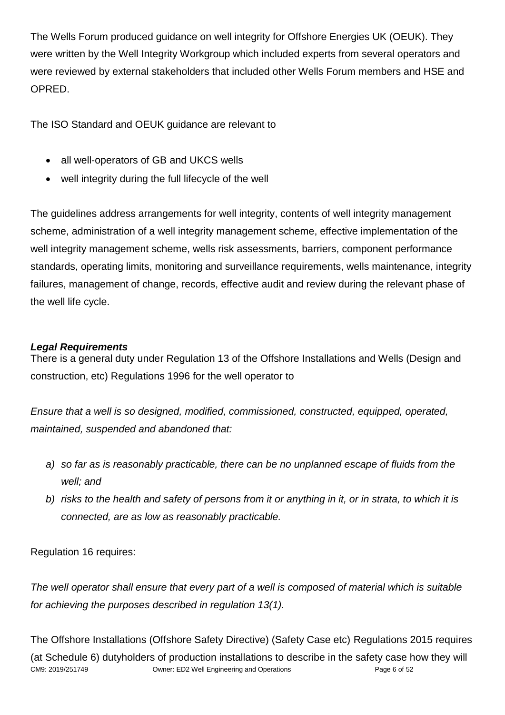The Wells Forum produced guidance on well integrity for Offshore Energies UK (OEUK). They were written by the Well Integrity Workgroup which included experts from several operators and were reviewed by external stakeholders that included other Wells Forum members and HSE and OPRED.

The ISO Standard and OEUK guidance are relevant to

- all well-operators of GB and UKCS wells
- well integrity during the full lifecycle of the well

The guidelines address arrangements for well integrity, contents of well integrity management scheme, administration of a well integrity management scheme, effective implementation of the well integrity management scheme, wells risk assessments, barriers, component performance standards, operating limits, monitoring and surveillance requirements, wells maintenance, integrity failures, management of change, records, effective audit and review during the relevant phase of the well life cycle.

#### <span id="page-5-0"></span>*Legal Requirements*

There is a general duty under Regulation 13 of the Offshore Installations and Wells (Design and construction, etc) Regulations 1996 for the well operator to

*Ensure that a well is so designed, modified, commissioned, constructed, equipped, operated, maintained, suspended and abandoned that:*

- *a) so far as is reasonably practicable, there can be no unplanned escape of fluids from the well; and*
- *b) risks to the health and safety of persons from it or anything in it, or in strata, to which it is connected, are as low as reasonably practicable.*

Regulation 16 requires:

*The well operator shall ensure that every part of a well is composed of material which is suitable for achieving the purposes described in regulation 13(1).*

CM9: 2019/251749 Owner: ED2 Well Engineering and Operations Page 6 of 52 The Offshore Installations (Offshore Safety Directive) (Safety Case etc) Regulations 2015 requires (at Schedule 6) dutyholders of production installations to describe in the safety case how they will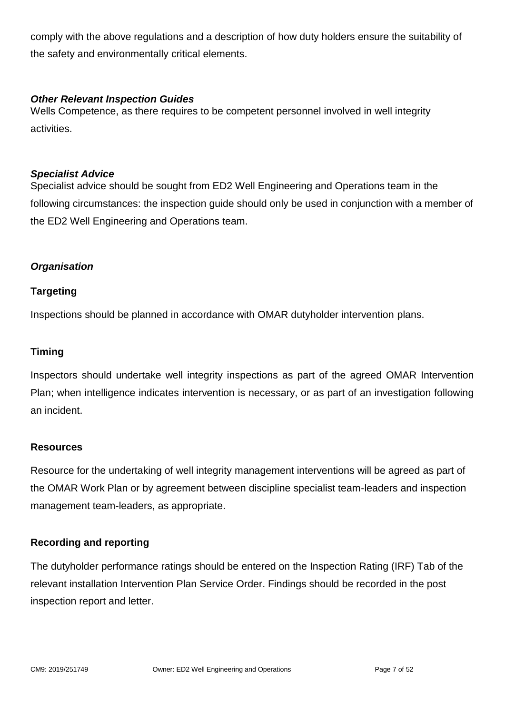comply with the above regulations and a description of how duty holders ensure the suitability of the safety and environmentally critical elements.

#### <span id="page-6-0"></span>*Other Relevant Inspection Guides*

Wells Competence, as there requires to be competent personnel involved in well integrity activities.

#### <span id="page-6-1"></span>*Specialist Advice*

Specialist advice should be sought from ED2 Well Engineering and Operations team in the following circumstances: the inspection guide should only be used in conjunction with a member of the ED2 Well Engineering and Operations team.

#### <span id="page-6-2"></span>*Organisation*

#### <span id="page-6-3"></span>**Targeting**

Inspections should be planned in accordance with OMAR dutyholder intervention plans.

#### <span id="page-6-4"></span>**Timing**

Inspectors should undertake well integrity inspections as part of the agreed OMAR Intervention Plan; when intelligence indicates intervention is necessary, or as part of an investigation following an incident.

#### <span id="page-6-5"></span>**Resources**

Resource for the undertaking of well integrity management interventions will be agreed as part of the OMAR Work Plan or by agreement between discipline specialist team-leaders and inspection management team-leaders, as appropriate.

#### <span id="page-6-6"></span>**Recording and reporting**

The dutyholder performance ratings should be entered on the Inspection Rating (IRF) Tab of the relevant installation Intervention Plan Service Order. Findings should be recorded in the post inspection report and letter.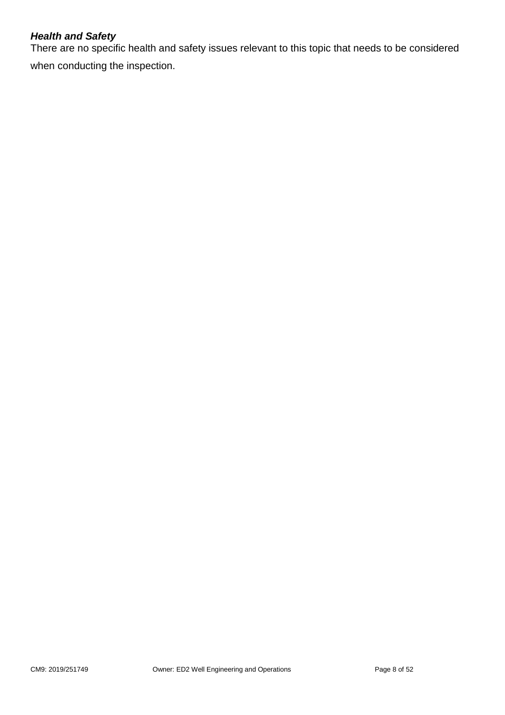#### <span id="page-7-0"></span>*Health and Safety*

There are no specific health and safety issues relevant to this topic that needs to be considered when conducting the inspection.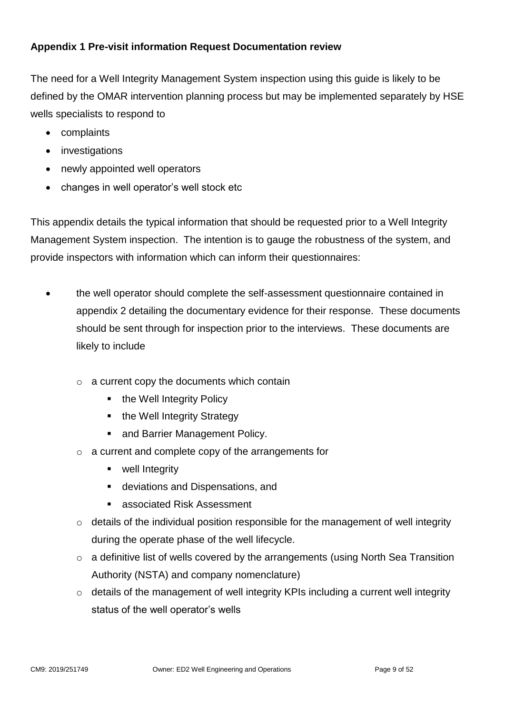#### <span id="page-8-0"></span>**Appendix 1 Pre-visit information Request Documentation review**

The need for a Well Integrity Management System inspection using this guide is likely to be defined by the OMAR intervention planning process but may be implemented separately by HSE wells specialists to respond to

- complaints
- investigations
- newly appointed well operators
- changes in well operator's well stock etc

This appendix details the typical information that should be requested prior to a Well Integrity Management System inspection. The intention is to gauge the robustness of the system, and provide inspectors with information which can inform their questionnaires:

- the well operator should complete the self-assessment questionnaire contained in appendix 2 detailing the documentary evidence for their response. These documents should be sent through for inspection prior to the interviews. These documents are likely to include
	- $\circ$  a current copy the documents which contain
		- the Well Integrity Policy
		- $\blacksquare$  the Well Integrity Strategy
		- and Barrier Management Policy.
	- o a current and complete copy of the arrangements for
		- **•** well Integrity
		- deviations and Dispensations, and
		- associated Risk Assessment
	- $\circ$  details of the individual position responsible for the management of well integrity during the operate phase of the well lifecycle.
	- $\circ$  a definitive list of wells covered by the arrangements (using North Sea Transition Authority (NSTA) and company nomenclature)
	- $\circ$  details of the management of well integrity KPIs including a current well integrity status of the well operator's wells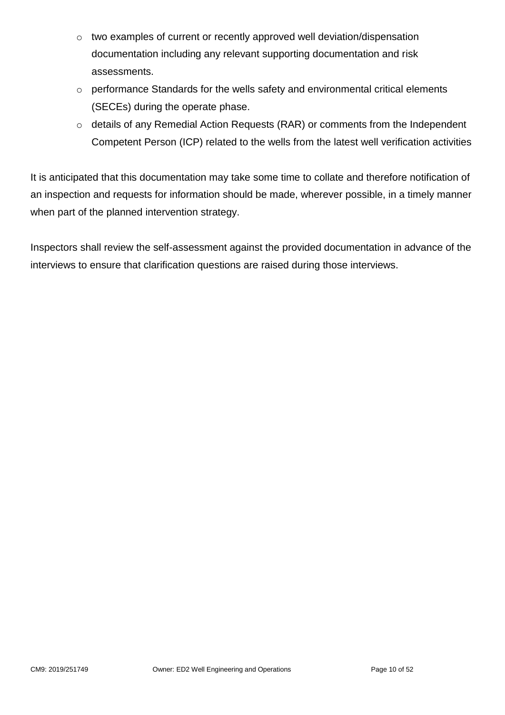- o two examples of current or recently approved well deviation/dispensation documentation including any relevant supporting documentation and risk assessments.
- o performance Standards for the wells safety and environmental critical elements (SECEs) during the operate phase.
- o details of any Remedial Action Requests (RAR) or comments from the Independent Competent Person (ICP) related to the wells from the latest well verification activities

It is anticipated that this documentation may take some time to collate and therefore notification of an inspection and requests for information should be made, wherever possible, in a timely manner when part of the planned intervention strategy.

Inspectors shall review the self-assessment against the provided documentation in advance of the interviews to ensure that clarification questions are raised during those interviews.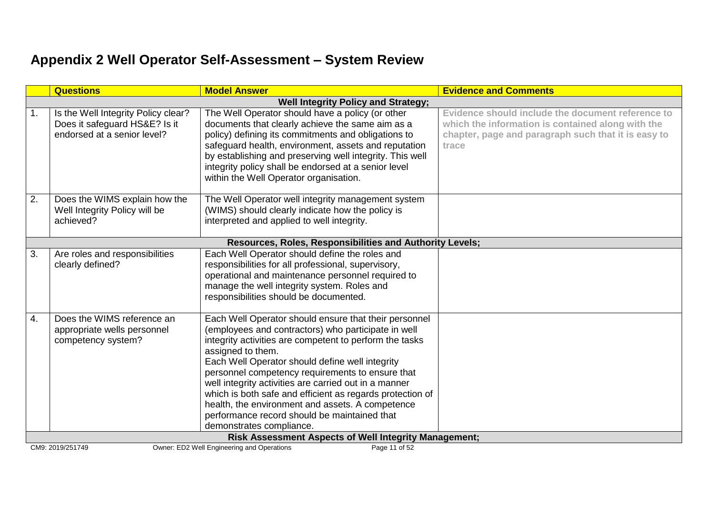## **Appendix 2 Well Operator Self-Assessment – System Review**

<span id="page-10-0"></span>

|                                                       | <b>Questions</b>                                                                                    | <b>Model Answer</b>                                                                                                                                                                                                                                                                                                                                                                                                                                                                                                                                       | <b>Evidence and Comments</b>                                                                                                                                           |  |
|-------------------------------------------------------|-----------------------------------------------------------------------------------------------------|-----------------------------------------------------------------------------------------------------------------------------------------------------------------------------------------------------------------------------------------------------------------------------------------------------------------------------------------------------------------------------------------------------------------------------------------------------------------------------------------------------------------------------------------------------------|------------------------------------------------------------------------------------------------------------------------------------------------------------------------|--|
|                                                       | <b>Well Integrity Policy and Strategy;</b>                                                          |                                                                                                                                                                                                                                                                                                                                                                                                                                                                                                                                                           |                                                                                                                                                                        |  |
| 1.                                                    | Is the Well Integrity Policy clear?<br>Does it safeguard HS&E? Is it<br>endorsed at a senior level? | The Well Operator should have a policy (or other<br>documents that clearly achieve the same aim as a<br>policy) defining its commitments and obligations to<br>safeguard health, environment, assets and reputation<br>by establishing and preserving well integrity. This well<br>integrity policy shall be endorsed at a senior level<br>within the Well Operator organisation.                                                                                                                                                                         | Evidence should include the document reference to<br>which the information is contained along with the<br>chapter, page and paragraph such that it is easy to<br>trace |  |
| 2.                                                    | Does the WIMS explain how the<br>Well Integrity Policy will be<br>achieved?                         | The Well Operator well integrity management system<br>(WIMS) should clearly indicate how the policy is<br>interpreted and applied to well integrity.                                                                                                                                                                                                                                                                                                                                                                                                      |                                                                                                                                                                        |  |
|                                                       |                                                                                                     | Resources, Roles, Responsibilities and Authority Levels;                                                                                                                                                                                                                                                                                                                                                                                                                                                                                                  |                                                                                                                                                                        |  |
| 3.                                                    | Are roles and responsibilities<br>clearly defined?                                                  | Each Well Operator should define the roles and<br>responsibilities for all professional, supervisory,<br>operational and maintenance personnel required to<br>manage the well integrity system. Roles and<br>responsibilities should be documented.                                                                                                                                                                                                                                                                                                       |                                                                                                                                                                        |  |
| 4.                                                    | Does the WIMS reference an<br>appropriate wells personnel<br>competency system?                     | Each Well Operator should ensure that their personnel<br>(employees and contractors) who participate in well<br>integrity activities are competent to perform the tasks<br>assigned to them.<br>Each Well Operator should define well integrity<br>personnel competency requirements to ensure that<br>well integrity activities are carried out in a manner<br>which is both safe and efficient as regards protection of<br>health, the environment and assets. A competence<br>performance record should be maintained that<br>demonstrates compliance. |                                                                                                                                                                        |  |
| Risk Assessment Aspects of Well Integrity Management; |                                                                                                     |                                                                                                                                                                                                                                                                                                                                                                                                                                                                                                                                                           |                                                                                                                                                                        |  |
|                                                       | Owner: ED2 Well Engineering and Operations<br>CM9: 2019/251749<br>Page 11 of 52                     |                                                                                                                                                                                                                                                                                                                                                                                                                                                                                                                                                           |                                                                                                                                                                        |  |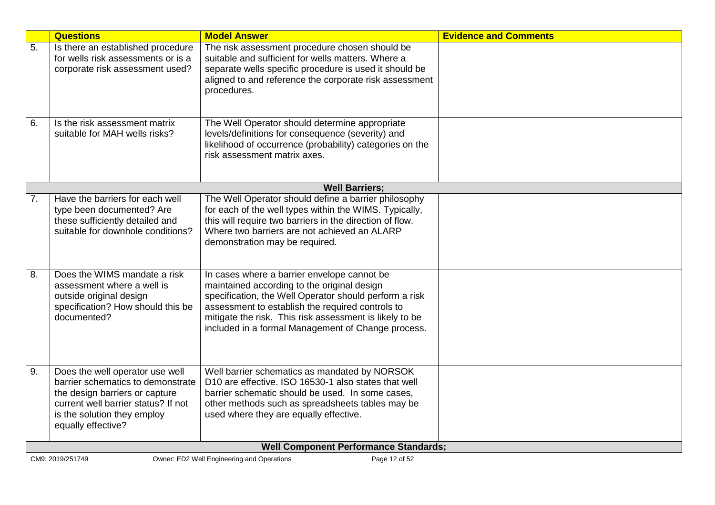|    | <b>Questions</b>                                                                                                                                                                                   | <b>Model Answer</b>                                                                                                                                                                                                                                                                                                       | <b>Evidence and Comments</b> |  |
|----|----------------------------------------------------------------------------------------------------------------------------------------------------------------------------------------------------|---------------------------------------------------------------------------------------------------------------------------------------------------------------------------------------------------------------------------------------------------------------------------------------------------------------------------|------------------------------|--|
| 5. | Is there an established procedure<br>for wells risk assessments or is a<br>corporate risk assessment used?                                                                                         | The risk assessment procedure chosen should be<br>suitable and sufficient for wells matters. Where a<br>separate wells specific procedure is used it should be<br>aligned to and reference the corporate risk assessment<br>procedures.                                                                                   |                              |  |
| 6. | Is the risk assessment matrix<br>suitable for MAH wells risks?                                                                                                                                     | The Well Operator should determine appropriate<br>levels/definitions for consequence (severity) and<br>likelihood of occurrence (probability) categories on the<br>risk assessment matrix axes.                                                                                                                           |                              |  |
|    |                                                                                                                                                                                                    | <b>Well Barriers:</b>                                                                                                                                                                                                                                                                                                     |                              |  |
| 7. | Have the barriers for each well<br>type been documented? Are<br>these sufficiently detailed and<br>suitable for downhole conditions?                                                               | The Well Operator should define a barrier philosophy<br>for each of the well types within the WIMS. Typically,<br>this will require two barriers in the direction of flow.<br>Where two barriers are not achieved an ALARP<br>demonstration may be required.                                                              |                              |  |
| 8. | Does the WIMS mandate a risk<br>assessment where a well is<br>outside original design<br>specification? How should this be<br>documented?                                                          | In cases where a barrier envelope cannot be<br>maintained according to the original design<br>specification, the Well Operator should perform a risk<br>assessment to establish the required controls to<br>mitigate the risk. This risk assessment is likely to be<br>included in a formal Management of Change process. |                              |  |
| 9. | Does the well operator use well<br>barrier schematics to demonstrate<br>the design barriers or capture<br>current well barrier status? If not<br>is the solution they employ<br>equally effective? | Well barrier schematics as mandated by NORSOK<br>D10 are effective. ISO 16530-1 also states that well<br>barrier schematic should be used. In some cases,<br>other methods such as spreadsheets tables may be<br>used where they are equally effective.                                                                   |                              |  |
|    | <b>Well Component Performance Standards;</b>                                                                                                                                                       |                                                                                                                                                                                                                                                                                                                           |                              |  |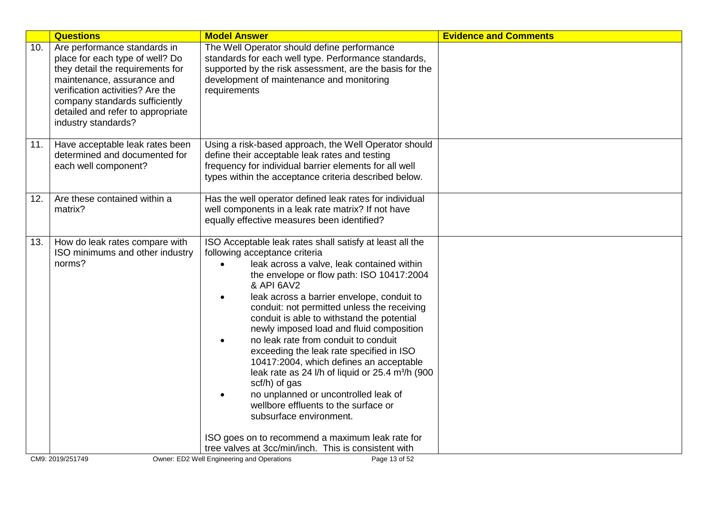|     | <b>Questions</b>                                                                                                                                                                                                                                                    | <b>Model Answer</b>                                                                                                                                                                                                                                                                                                                                                                                                                                                                                                                                                                                                                                                                                                                                                                                                                                        | <b>Evidence and Comments</b> |
|-----|---------------------------------------------------------------------------------------------------------------------------------------------------------------------------------------------------------------------------------------------------------------------|------------------------------------------------------------------------------------------------------------------------------------------------------------------------------------------------------------------------------------------------------------------------------------------------------------------------------------------------------------------------------------------------------------------------------------------------------------------------------------------------------------------------------------------------------------------------------------------------------------------------------------------------------------------------------------------------------------------------------------------------------------------------------------------------------------------------------------------------------------|------------------------------|
| 10. | Are performance standards in<br>place for each type of well? Do<br>they detail the requirements for<br>maintenance, assurance and<br>verification activities? Are the<br>company standards sufficiently<br>detailed and refer to appropriate<br>industry standards? | The Well Operator should define performance<br>standards for each well type. Performance standards,<br>supported by the risk assessment, are the basis for the<br>development of maintenance and monitoring<br>requirements                                                                                                                                                                                                                                                                                                                                                                                                                                                                                                                                                                                                                                |                              |
| 11. | Have acceptable leak rates been<br>determined and documented for<br>each well component?                                                                                                                                                                            | Using a risk-based approach, the Well Operator should<br>define their acceptable leak rates and testing<br>frequency for individual barrier elements for all well<br>types within the acceptance criteria described below.                                                                                                                                                                                                                                                                                                                                                                                                                                                                                                                                                                                                                                 |                              |
| 12. | Are these contained within a<br>matrix?                                                                                                                                                                                                                             | Has the well operator defined leak rates for individual<br>well components in a leak rate matrix? If not have<br>equally effective measures been identified?                                                                                                                                                                                                                                                                                                                                                                                                                                                                                                                                                                                                                                                                                               |                              |
| 13. | How do leak rates compare with<br>ISO minimums and other industry<br>norms?                                                                                                                                                                                         | ISO Acceptable leak rates shall satisfy at least all the<br>following acceptance criteria<br>leak across a valve, leak contained within<br>$\bullet$<br>the envelope or flow path: ISO 10417:2004<br>& API 6AV2<br>leak across a barrier envelope, conduit to<br>$\bullet$<br>conduit: not permitted unless the receiving<br>conduit is able to withstand the potential<br>newly imposed load and fluid composition<br>no leak rate from conduit to conduit<br>exceeding the leak rate specified in ISO<br>10417:2004, which defines an acceptable<br>leak rate as 24 l/h of liquid or 25.4 m <sup>3</sup> /h (900<br>scf/h) of gas<br>no unplanned or uncontrolled leak of<br>wellbore effluents to the surface or<br>subsurface environment.<br>ISO goes on to recommend a maximum leak rate for<br>tree valves at 3cc/min/inch. This is consistent with |                              |
|     | CM9: 2019/251749                                                                                                                                                                                                                                                    | Owner: ED2 Well Engineering and Operations<br>Page 13 of 52                                                                                                                                                                                                                                                                                                                                                                                                                                                                                                                                                                                                                                                                                                                                                                                                |                              |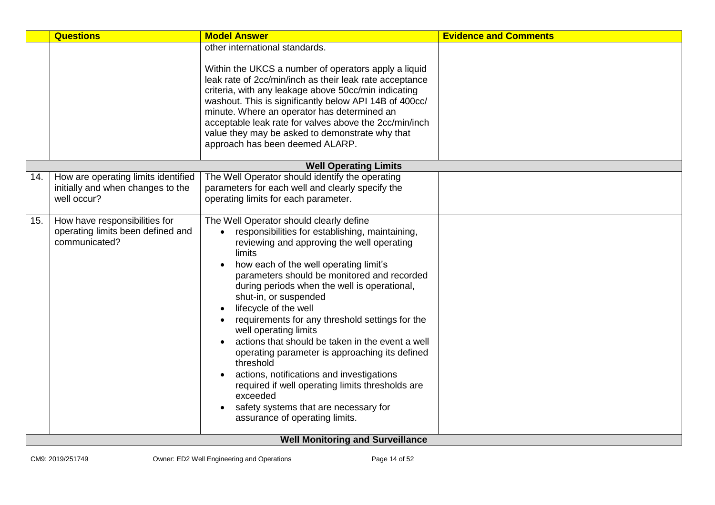|     | <b>Questions</b>                                                                        | <b>Model Answer</b>                                                                                                                                                                                                                                                                                                                                                                                                                                                                                                                                                                                                                                                                                                                  | <b>Evidence and Comments</b> |  |
|-----|-----------------------------------------------------------------------------------------|--------------------------------------------------------------------------------------------------------------------------------------------------------------------------------------------------------------------------------------------------------------------------------------------------------------------------------------------------------------------------------------------------------------------------------------------------------------------------------------------------------------------------------------------------------------------------------------------------------------------------------------------------------------------------------------------------------------------------------------|------------------------------|--|
|     |                                                                                         | other international standards.<br>Within the UKCS a number of operators apply a liquid<br>leak rate of 2cc/min/inch as their leak rate acceptance<br>criteria, with any leakage above 50cc/min indicating<br>washout. This is significantly below API 14B of 400cc/<br>minute. Where an operator has determined an<br>acceptable leak rate for valves above the 2cc/min/inch<br>value they may be asked to demonstrate why that<br>approach has been deemed ALARP.                                                                                                                                                                                                                                                                   |                              |  |
|     |                                                                                         | <b>Well Operating Limits</b>                                                                                                                                                                                                                                                                                                                                                                                                                                                                                                                                                                                                                                                                                                         |                              |  |
| 14. | How are operating limits identified<br>initially and when changes to the<br>well occur? | The Well Operator should identify the operating<br>parameters for each well and clearly specify the<br>operating limits for each parameter.                                                                                                                                                                                                                                                                                                                                                                                                                                                                                                                                                                                          |                              |  |
| 15. | How have responsibilities for<br>operating limits been defined and<br>communicated?     | The Well Operator should clearly define<br>responsibilities for establishing, maintaining,<br>reviewing and approving the well operating<br>limits<br>how each of the well operating limit's<br>parameters should be monitored and recorded<br>during periods when the well is operational,<br>shut-in, or suspended<br>lifecycle of the well<br>requirements for any threshold settings for the<br>well operating limits<br>actions that should be taken in the event a well<br>operating parameter is approaching its defined<br>threshold<br>actions, notifications and investigations<br>required if well operating limits thresholds are<br>exceeded<br>safety systems that are necessary for<br>assurance of operating limits. |                              |  |
|     | <b>Well Monitoring and Surveillance</b>                                                 |                                                                                                                                                                                                                                                                                                                                                                                                                                                                                                                                                                                                                                                                                                                                      |                              |  |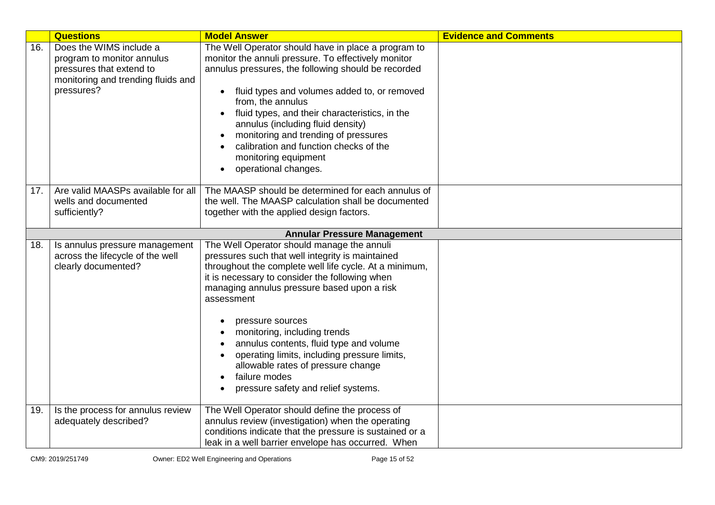|     | <b>Questions</b>                                                                                                                      | <b>Model Answer</b>                                                                                                                                                                                                                                                                                                                                                                                                                                                                                                  | <b>Evidence and Comments</b> |
|-----|---------------------------------------------------------------------------------------------------------------------------------------|----------------------------------------------------------------------------------------------------------------------------------------------------------------------------------------------------------------------------------------------------------------------------------------------------------------------------------------------------------------------------------------------------------------------------------------------------------------------------------------------------------------------|------------------------------|
| 16. | Does the WIMS include a<br>program to monitor annulus<br>pressures that extend to<br>monitoring and trending fluids and<br>pressures? | The Well Operator should have in place a program to<br>monitor the annuli pressure. To effectively monitor<br>annulus pressures, the following should be recorded<br>fluid types and volumes added to, or removed<br>$\bullet$<br>from, the annulus<br>fluid types, and their characteristics, in the<br>annulus (including fluid density)<br>monitoring and trending of pressures<br>calibration and function checks of the<br>monitoring equipment<br>operational changes.                                         |                              |
| 17. | Are valid MAASPs available for all<br>wells and documented<br>sufficiently?                                                           | The MAASP should be determined for each annulus of<br>the well. The MAASP calculation shall be documented<br>together with the applied design factors.                                                                                                                                                                                                                                                                                                                                                               |                              |
|     |                                                                                                                                       | <b>Annular Pressure Management</b>                                                                                                                                                                                                                                                                                                                                                                                                                                                                                   |                              |
| 18. | Is annulus pressure management<br>across the lifecycle of the well<br>clearly documented?                                             | The Well Operator should manage the annuli<br>pressures such that well integrity is maintained<br>throughout the complete well life cycle. At a minimum,<br>it is necessary to consider the following when<br>managing annulus pressure based upon a risk<br>assessment<br>pressure sources<br>monitoring, including trends<br>annulus contents, fluid type and volume<br>operating limits, including pressure limits,<br>allowable rates of pressure change<br>failure modes<br>pressure safety and relief systems. |                              |
| 19. | Is the process for annulus review<br>adequately described?                                                                            | The Well Operator should define the process of<br>annulus review (investigation) when the operating<br>conditions indicate that the pressure is sustained or a<br>leak in a well barrier envelope has occurred. When                                                                                                                                                                                                                                                                                                 |                              |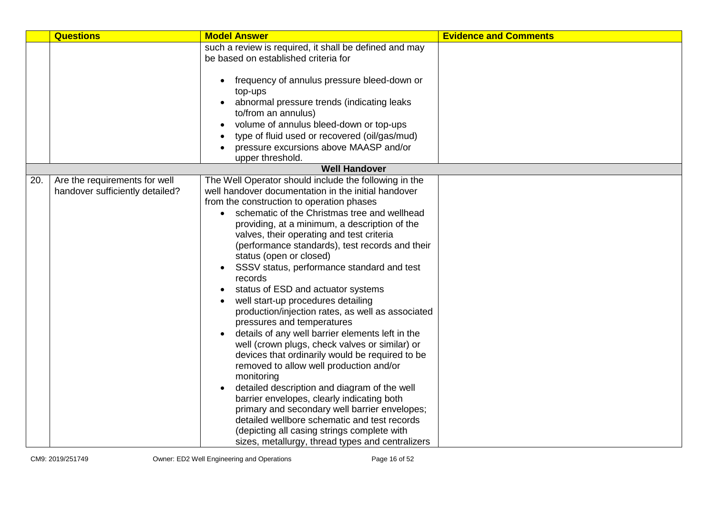|     | <b>Questions</b>                                                 | <b>Model Answer</b>                                                                                                                                                                                                                                                                                                                                                                                                                                                                                                                                                                                                                                                                                                                                                                                                                                                                                                                                                                                                                                                                                                                              | <b>Evidence and Comments</b> |
|-----|------------------------------------------------------------------|--------------------------------------------------------------------------------------------------------------------------------------------------------------------------------------------------------------------------------------------------------------------------------------------------------------------------------------------------------------------------------------------------------------------------------------------------------------------------------------------------------------------------------------------------------------------------------------------------------------------------------------------------------------------------------------------------------------------------------------------------------------------------------------------------------------------------------------------------------------------------------------------------------------------------------------------------------------------------------------------------------------------------------------------------------------------------------------------------------------------------------------------------|------------------------------|
|     |                                                                  | such a review is required, it shall be defined and may<br>be based on established criteria for                                                                                                                                                                                                                                                                                                                                                                                                                                                                                                                                                                                                                                                                                                                                                                                                                                                                                                                                                                                                                                                   |                              |
|     |                                                                  | frequency of annulus pressure bleed-down or<br>top-ups<br>abnormal pressure trends (indicating leaks<br>to/from an annulus)<br>volume of annulus bleed-down or top-ups<br>type of fluid used or recovered (oil/gas/mud)<br>pressure excursions above MAASP and/or<br>upper threshold.                                                                                                                                                                                                                                                                                                                                                                                                                                                                                                                                                                                                                                                                                                                                                                                                                                                            |                              |
|     |                                                                  | <b>Well Handover</b>                                                                                                                                                                                                                                                                                                                                                                                                                                                                                                                                                                                                                                                                                                                                                                                                                                                                                                                                                                                                                                                                                                                             |                              |
| 20. | Are the requirements for well<br>handover sufficiently detailed? | The Well Operator should include the following in the<br>well handover documentation in the initial handover<br>from the construction to operation phases<br>• schematic of the Christmas tree and wellhead<br>providing, at a minimum, a description of the<br>valves, their operating and test criteria<br>(performance standards), test records and their<br>status (open or closed)<br>SSSV status, performance standard and test<br>$\bullet$<br>records<br>status of ESD and actuator systems<br>well start-up procedures detailing<br>production/injection rates, as well as associated<br>pressures and temperatures<br>details of any well barrier elements left in the<br>well (crown plugs, check valves or similar) or<br>devices that ordinarily would be required to be<br>removed to allow well production and/or<br>monitoring<br>detailed description and diagram of the well<br>barrier envelopes, clearly indicating both<br>primary and secondary well barrier envelopes;<br>detailed wellbore schematic and test records<br>(depicting all casing strings complete with<br>sizes, metallurgy, thread types and centralizers |                              |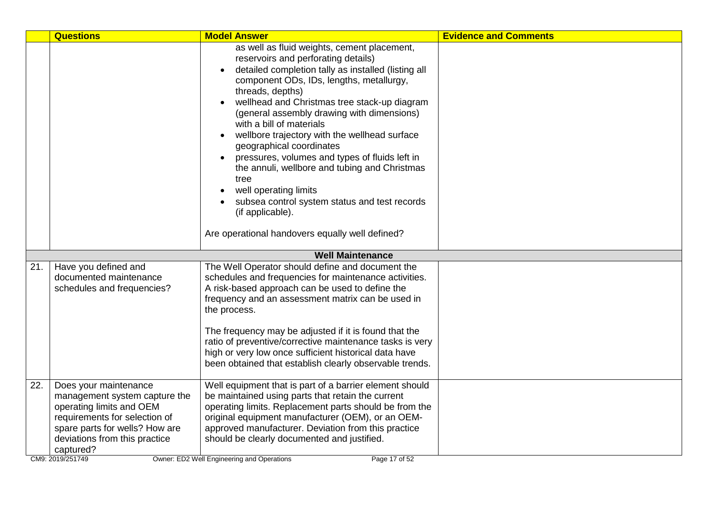|     | <b>Questions</b>                                                                                                                                                                                                        | <b>Model Answer</b>                                                                                                                                                                                                                                                                                                                                                                                                                                                                                                                                                                                                                                                          | <b>Evidence and Comments</b> |
|-----|-------------------------------------------------------------------------------------------------------------------------------------------------------------------------------------------------------------------------|------------------------------------------------------------------------------------------------------------------------------------------------------------------------------------------------------------------------------------------------------------------------------------------------------------------------------------------------------------------------------------------------------------------------------------------------------------------------------------------------------------------------------------------------------------------------------------------------------------------------------------------------------------------------------|------------------------------|
|     |                                                                                                                                                                                                                         | as well as fluid weights, cement placement,<br>reservoirs and perforating details)<br>detailed completion tally as installed (listing all<br>component ODs, IDs, lengths, metallurgy,<br>threads, depths)<br>wellhead and Christmas tree stack-up diagram<br>(general assembly drawing with dimensions)<br>with a bill of materials<br>wellbore trajectory with the wellhead surface<br>geographical coordinates<br>pressures, volumes and types of fluids left in<br>the annuli, wellbore and tubing and Christmas<br>tree<br>well operating limits<br>subsea control system status and test records<br>(if applicable).<br>Are operational handovers equally well defined? |                              |
|     |                                                                                                                                                                                                                         | <b>Well Maintenance</b>                                                                                                                                                                                                                                                                                                                                                                                                                                                                                                                                                                                                                                                      |                              |
| 21. | Have you defined and<br>documented maintenance<br>schedules and frequencies?                                                                                                                                            | The Well Operator should define and document the<br>schedules and frequencies for maintenance activities.<br>A risk-based approach can be used to define the<br>frequency and an assessment matrix can be used in<br>the process.<br>The frequency may be adjusted if it is found that the<br>ratio of preventive/corrective maintenance tasks is very<br>high or very low once sufficient historical data have<br>been obtained that establish clearly observable trends.                                                                                                                                                                                                   |                              |
| 22. | Does your maintenance<br>management system capture the<br>operating limits and OEM<br>requirements for selection of<br>spare parts for wells? How are<br>deviations from this practice<br>captured?<br>CM9: 2019/251749 | Well equipment that is part of a barrier element should<br>be maintained using parts that retain the current<br>operating limits. Replacement parts should be from the<br>original equipment manufacturer (OEM), or an OEM-<br>approved manufacturer. Deviation from this practice<br>should be clearly documented and justified.<br>Owner: ED2 Well Engineering and Operations<br>Page 17 of 52                                                                                                                                                                                                                                                                             |                              |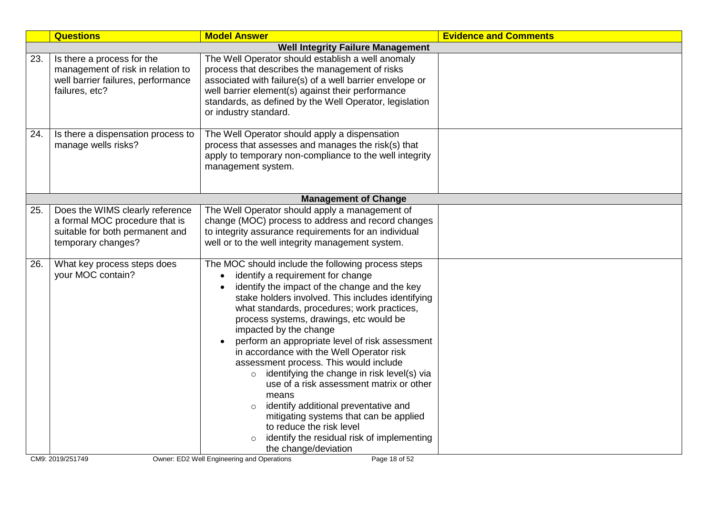|                                                                                                                         | <b>Model Answer</b>                                                                                                                                                                                                                                                                                                                                                                                                                                                                                                                                                                                                                                                                                                                      | <b>Evidence and Comments</b>                                                                                                                                        |
|-------------------------------------------------------------------------------------------------------------------------|------------------------------------------------------------------------------------------------------------------------------------------------------------------------------------------------------------------------------------------------------------------------------------------------------------------------------------------------------------------------------------------------------------------------------------------------------------------------------------------------------------------------------------------------------------------------------------------------------------------------------------------------------------------------------------------------------------------------------------------|---------------------------------------------------------------------------------------------------------------------------------------------------------------------|
|                                                                                                                         | <b>Well Integrity Failure Management</b>                                                                                                                                                                                                                                                                                                                                                                                                                                                                                                                                                                                                                                                                                                 |                                                                                                                                                                     |
| Is there a process for the<br>management of risk in relation to<br>well barrier failures, performance<br>failures, etc? | The Well Operator should establish a well anomaly<br>process that describes the management of risks<br>associated with failure(s) of a well barrier envelope or<br>well barrier element(s) against their performance<br>standards, as defined by the Well Operator, legislation<br>or industry standard.                                                                                                                                                                                                                                                                                                                                                                                                                                 |                                                                                                                                                                     |
| Is there a dispensation process to<br>manage wells risks?                                                               | The Well Operator should apply a dispensation<br>process that assesses and manages the risk(s) that<br>apply to temporary non-compliance to the well integrity<br>management system.                                                                                                                                                                                                                                                                                                                                                                                                                                                                                                                                                     |                                                                                                                                                                     |
|                                                                                                                         | <b>Management of Change</b>                                                                                                                                                                                                                                                                                                                                                                                                                                                                                                                                                                                                                                                                                                              |                                                                                                                                                                     |
| a formal MOC procedure that is<br>suitable for both permanent and<br>temporary changes?                                 | change (MOC) process to address and record changes<br>to integrity assurance requirements for an individual<br>well or to the well integrity management system.                                                                                                                                                                                                                                                                                                                                                                                                                                                                                                                                                                          |                                                                                                                                                                     |
| your MOC contain?                                                                                                       | identify a requirement for change<br>$\bullet$<br>identify the impact of the change and the key<br>stake holders involved. This includes identifying<br>what standards, procedures; work practices,<br>process systems, drawings, etc would be<br>impacted by the change<br>perform an appropriate level of risk assessment<br>in accordance with the Well Operator risk<br>assessment process. This would include<br>$\circ$ identifying the change in risk level(s) via<br>use of a risk assessment matrix or other<br>means<br>identify additional preventative and<br>$\circ$<br>mitigating systems that can be applied<br>to reduce the risk level<br>identify the residual risk of implementing<br>$\circ$<br>the change/deviation |                                                                                                                                                                     |
|                                                                                                                         | Does the WIMS clearly reference<br>What key process steps does<br>CM9: 2019/251749                                                                                                                                                                                                                                                                                                                                                                                                                                                                                                                                                                                                                                                       | The Well Operator should apply a management of<br>The MOC should include the following process steps<br>Page 18 of 52<br>Owner: ED2 Well Engineering and Operations |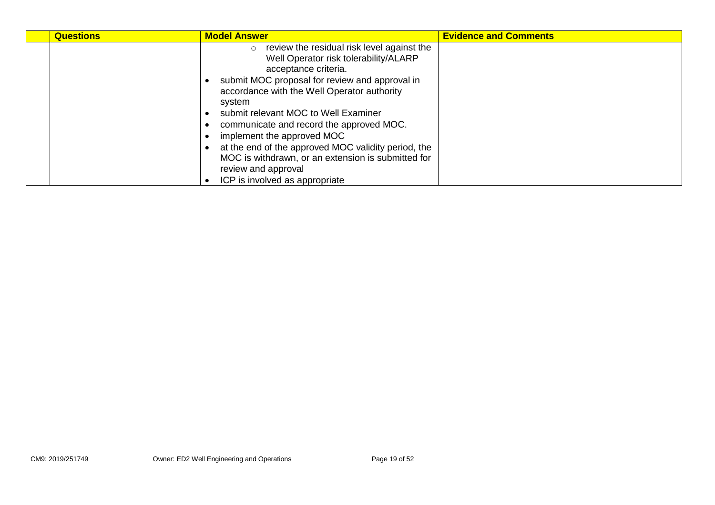| <b>Questions</b> | <b>Model Answer</b>                                                                                                                                                                                                                                                                                                                                                                                                                                                                                            | <b>Evidence and Comments</b> |
|------------------|----------------------------------------------------------------------------------------------------------------------------------------------------------------------------------------------------------------------------------------------------------------------------------------------------------------------------------------------------------------------------------------------------------------------------------------------------------------------------------------------------------------|------------------------------|
|                  | review the residual risk level against the<br>Well Operator risk tolerability/ALARP<br>acceptance criteria.<br>submit MOC proposal for review and approval in<br>accordance with the Well Operator authority<br>system<br>submit relevant MOC to Well Examiner<br>communicate and record the approved MOC.<br>implement the approved MOC<br>at the end of the approved MOC validity period, the<br>MOC is withdrawn, or an extension is submitted for<br>review and approval<br>ICP is involved as appropriate |                              |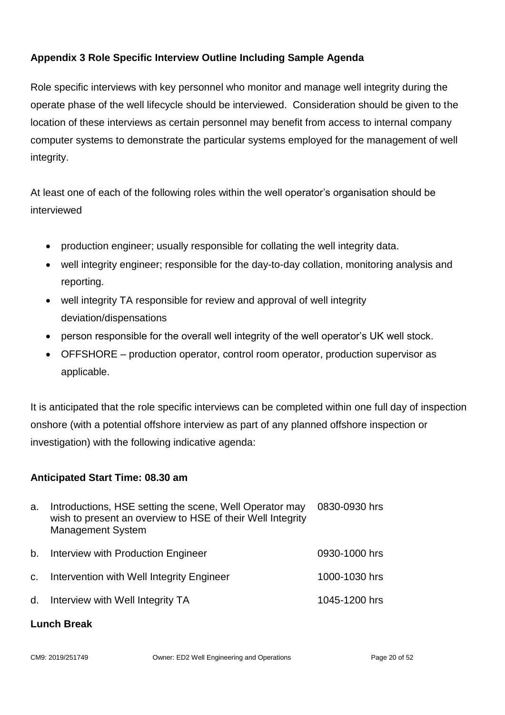### <span id="page-19-0"></span>**Appendix 3 Role Specific Interview Outline Including Sample Agenda**

Role specific interviews with key personnel who monitor and manage well integrity during the operate phase of the well lifecycle should be interviewed. Consideration should be given to the location of these interviews as certain personnel may benefit from access to internal company computer systems to demonstrate the particular systems employed for the management of well integrity.

At least one of each of the following roles within the well operator's organisation should be interviewed

- production engineer; usually responsible for collating the well integrity data.
- well integrity engineer; responsible for the day-to-day collation, monitoring analysis and reporting.
- well integrity TA responsible for review and approval of well integrity deviation/dispensations
- person responsible for the overall well integrity of the well operator's UK well stock.
- OFFSHORE production operator, control room operator, production supervisor as applicable.

It is anticipated that the role specific interviews can be completed within one full day of inspection onshore (with a potential offshore interview as part of any planned offshore inspection or investigation) with the following indicative agenda:

#### **Anticipated Start Time: 08.30 am**

| a.      | Introductions, HSE setting the scene, Well Operator may<br>wish to present an overview to HSE of their Well Integrity<br><b>Management System</b> | 0830-0930 hrs |
|---------|---------------------------------------------------------------------------------------------------------------------------------------------------|---------------|
| $b_{1}$ | Interview with Production Engineer                                                                                                                | 0930-1000 hrs |
| $C_{1}$ | Intervention with Well Integrity Engineer                                                                                                         | 1000-1030 hrs |
|         | d. Interview with Well Integrity TA                                                                                                               | 1045-1200 hrs |
|         |                                                                                                                                                   |               |

#### **Lunch Break**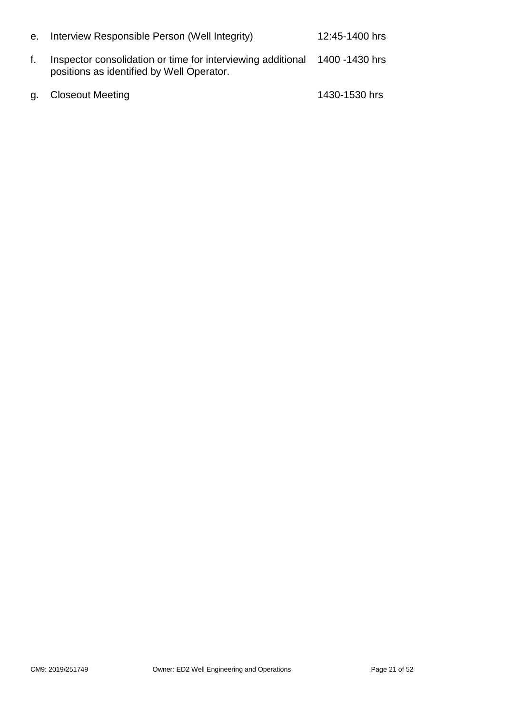| е. | Interview Responsible Person (Well Integrity)                                                                           | 12:45-1400 hrs |
|----|-------------------------------------------------------------------------------------------------------------------------|----------------|
|    | Inspector consolidation or time for interviewing additional 1400 -1430 hrs<br>positions as identified by Well Operator. |                |
|    | g. Closeout Meeting                                                                                                     | 1430-1530 hrs  |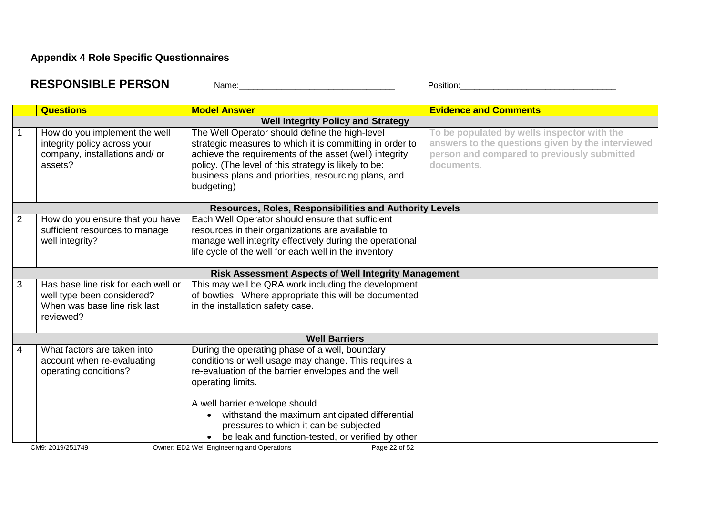## **Appendix 4 Role Specific Questionnaires**

| <b>RESPONSIBLE PERSON</b> | Name: | -<br>Position |
|---------------------------|-------|---------------|
|                           |       |               |

<span id="page-21-0"></span>

|                | <b>Questions</b>                                                                                               | <b>Model Answer</b>                                                                                                                                                                                                                                                                                                                                                   | <b>Evidence and Comments</b>                                                                                                                                  |
|----------------|----------------------------------------------------------------------------------------------------------------|-----------------------------------------------------------------------------------------------------------------------------------------------------------------------------------------------------------------------------------------------------------------------------------------------------------------------------------------------------------------------|---------------------------------------------------------------------------------------------------------------------------------------------------------------|
|                |                                                                                                                | <b>Well Integrity Policy and Strategy</b>                                                                                                                                                                                                                                                                                                                             |                                                                                                                                                               |
|                | How do you implement the well<br>integrity policy across your<br>company, installations and/ or<br>assets?     | The Well Operator should define the high-level<br>strategic measures to which it is committing in order to<br>achieve the requirements of the asset (well) integrity<br>policy. (The level of this strategy is likely to be:<br>business plans and priorities, resourcing plans, and<br>budgeting)                                                                    | To be populated by wells inspector with the<br>answers to the questions given by the interviewed<br>person and compared to previously submitted<br>documents. |
|                |                                                                                                                | Resources, Roles, Responsibilities and Authority Levels                                                                                                                                                                                                                                                                                                               |                                                                                                                                                               |
| $\overline{2}$ | How do you ensure that you have<br>sufficient resources to manage<br>well integrity?                           | Each Well Operator should ensure that sufficient<br>resources in their organizations are available to<br>manage well integrity effectively during the operational<br>life cycle of the well for each well in the inventory                                                                                                                                            |                                                                                                                                                               |
|                |                                                                                                                | <b>Risk Assessment Aspects of Well Integrity Management</b>                                                                                                                                                                                                                                                                                                           |                                                                                                                                                               |
| 3              | Has base line risk for each well or<br>well type been considered?<br>When was base line risk last<br>reviewed? | This may well be QRA work including the development<br>of bowties. Where appropriate this will be documented<br>in the installation safety case.                                                                                                                                                                                                                      |                                                                                                                                                               |
|                |                                                                                                                | <b>Well Barriers</b>                                                                                                                                                                                                                                                                                                                                                  |                                                                                                                                                               |
| 4              | What factors are taken into<br>account when re-evaluating<br>operating conditions?                             | During the operating phase of a well, boundary<br>conditions or well usage may change. This requires a<br>re-evaluation of the barrier envelopes and the well<br>operating limits.<br>A well barrier envelope should<br>withstand the maximum anticipated differential<br>pressures to which it can be subjected<br>be leak and function-tested, or verified by other |                                                                                                                                                               |
|                | CM9: 2019/251749                                                                                               | Owner: ED2 Well Engineering and Operations<br>Page 22 of 52                                                                                                                                                                                                                                                                                                           |                                                                                                                                                               |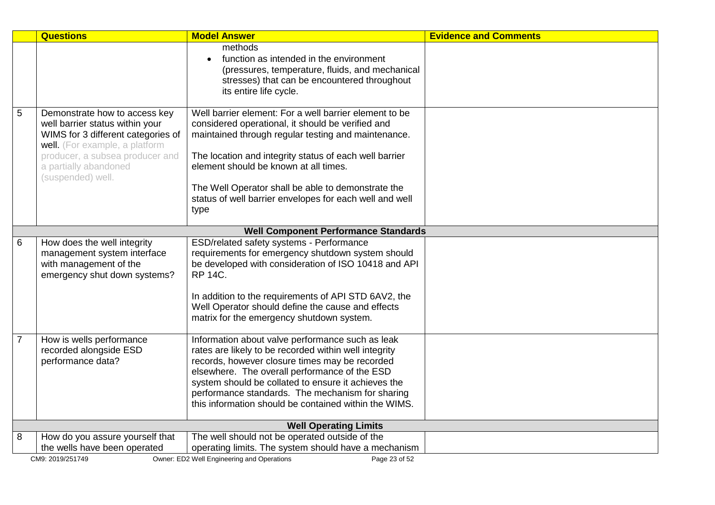|                | <b>Questions</b>                                                                                                                                                                                     | <b>Model Answer</b>                                                                                                                                                                                                                                                                                                                                                              | <b>Evidence and Comments</b> |
|----------------|------------------------------------------------------------------------------------------------------------------------------------------------------------------------------------------------------|----------------------------------------------------------------------------------------------------------------------------------------------------------------------------------------------------------------------------------------------------------------------------------------------------------------------------------------------------------------------------------|------------------------------|
|                |                                                                                                                                                                                                      | methods<br>function as intended in the environment<br>(pressures, temperature, fluids, and mechanical<br>stresses) that can be encountered throughout<br>its entire life cycle.                                                                                                                                                                                                  |                              |
| 5              | Demonstrate how to access key<br>well barrier status within your<br>WIMS for 3 different categories of<br>well. (For example, a platform<br>producer, a subsea producer and<br>a partially abandoned | Well barrier element: For a well barrier element to be<br>considered operational, it should be verified and<br>maintained through regular testing and maintenance.<br>The location and integrity status of each well barrier<br>element should be known at all times.                                                                                                            |                              |
|                | (suspended) well.                                                                                                                                                                                    | The Well Operator shall be able to demonstrate the<br>status of well barrier envelopes for each well and well<br>type                                                                                                                                                                                                                                                            |                              |
|                |                                                                                                                                                                                                      | <b>Well Component Performance Standards</b>                                                                                                                                                                                                                                                                                                                                      |                              |
| 6              | How does the well integrity<br>management system interface<br>with management of the<br>emergency shut down systems?                                                                                 | ESD/related safety systems - Performance<br>requirements for emergency shutdown system should<br>be developed with consideration of ISO 10418 and API<br><b>RP 14C.</b>                                                                                                                                                                                                          |                              |
|                |                                                                                                                                                                                                      | In addition to the requirements of API STD 6AV2, the<br>Well Operator should define the cause and effects<br>matrix for the emergency shutdown system.                                                                                                                                                                                                                           |                              |
| $\overline{7}$ | How is wells performance<br>recorded alongside ESD<br>performance data?                                                                                                                              | Information about valve performance such as leak<br>rates are likely to be recorded within well integrity<br>records, however closure times may be recorded<br>elsewhere. The overall performance of the ESD<br>system should be collated to ensure it achieves the<br>performance standards. The mechanism for sharing<br>this information should be contained within the WIMS. |                              |
|                | <b>Well Operating Limits</b>                                                                                                                                                                         |                                                                                                                                                                                                                                                                                                                                                                                  |                              |
| 8              | How do you assure yourself that                                                                                                                                                                      | The well should not be operated outside of the                                                                                                                                                                                                                                                                                                                                   |                              |
|                | the wells have been operated                                                                                                                                                                         | operating limits. The system should have a mechanism                                                                                                                                                                                                                                                                                                                             |                              |
|                | CM9: 2019/251749                                                                                                                                                                                     | Owner: ED2 Well Engineering and Operations<br>Page 23 of 52                                                                                                                                                                                                                                                                                                                      |                              |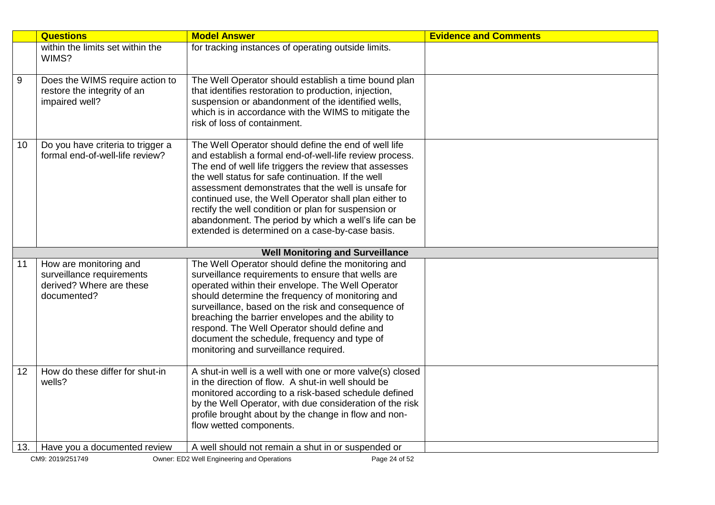|     | <b>Questions</b>                                                                 | <b>Model Answer</b>                                                                                                                                                                                                                                                                                                                                                                                                                                                                                                 | <b>Evidence and Comments</b> |
|-----|----------------------------------------------------------------------------------|---------------------------------------------------------------------------------------------------------------------------------------------------------------------------------------------------------------------------------------------------------------------------------------------------------------------------------------------------------------------------------------------------------------------------------------------------------------------------------------------------------------------|------------------------------|
|     | within the limits set within the<br>WIMS?                                        | for tracking instances of operating outside limits.                                                                                                                                                                                                                                                                                                                                                                                                                                                                 |                              |
| 9   | Does the WIMS require action to<br>restore the integrity of an<br>impaired well? | The Well Operator should establish a time bound plan<br>that identifies restoration to production, injection,<br>suspension or abandonment of the identified wells,                                                                                                                                                                                                                                                                                                                                                 |                              |
|     |                                                                                  | which is in accordance with the WIMS to mitigate the<br>risk of loss of containment.                                                                                                                                                                                                                                                                                                                                                                                                                                |                              |
| 10  | Do you have criteria to trigger a<br>formal end-of-well-life review?             | The Well Operator should define the end of well life<br>and establish a formal end-of-well-life review process.<br>The end of well life triggers the review that assesses<br>the well status for safe continuation. If the well<br>assessment demonstrates that the well is unsafe for<br>continued use, the Well Operator shall plan either to<br>rectify the well condition or plan for suspension or<br>abandonment. The period by which a well's life can be<br>extended is determined on a case-by-case basis. |                              |
|     |                                                                                  | <b>Well Monitoring and Surveillance</b>                                                                                                                                                                                                                                                                                                                                                                                                                                                                             |                              |
| 11  | How are monitoring and<br>surveillance requirements                              | The Well Operator should define the monitoring and<br>surveillance requirements to ensure that wells are                                                                                                                                                                                                                                                                                                                                                                                                            |                              |
|     | derived? Where are these<br>documented?                                          | operated within their envelope. The Well Operator<br>should determine the frequency of monitoring and                                                                                                                                                                                                                                                                                                                                                                                                               |                              |
|     |                                                                                  | surveillance, based on the risk and consequence of<br>breaching the barrier envelopes and the ability to                                                                                                                                                                                                                                                                                                                                                                                                            |                              |
|     |                                                                                  | respond. The Well Operator should define and<br>document the schedule, frequency and type of                                                                                                                                                                                                                                                                                                                                                                                                                        |                              |
|     |                                                                                  | monitoring and surveillance required.                                                                                                                                                                                                                                                                                                                                                                                                                                                                               |                              |
| 12  | How do these differ for shut-in<br>wells?                                        | A shut-in well is a well with one or more valve(s) closed<br>in the direction of flow. A shut-in well should be<br>monitored according to a risk-based schedule defined                                                                                                                                                                                                                                                                                                                                             |                              |
|     |                                                                                  | by the Well Operator, with due consideration of the risk<br>profile brought about by the change in flow and non-<br>flow wetted components.                                                                                                                                                                                                                                                                                                                                                                         |                              |
|     |                                                                                  | A well should not remain a shut in or suspended or                                                                                                                                                                                                                                                                                                                                                                                                                                                                  |                              |
| 13. | Have you a documented review<br>CM9: 2019/251749                                 | Owner: ED2 Well Engineering and Operations<br>Page 24 of 52                                                                                                                                                                                                                                                                                                                                                                                                                                                         |                              |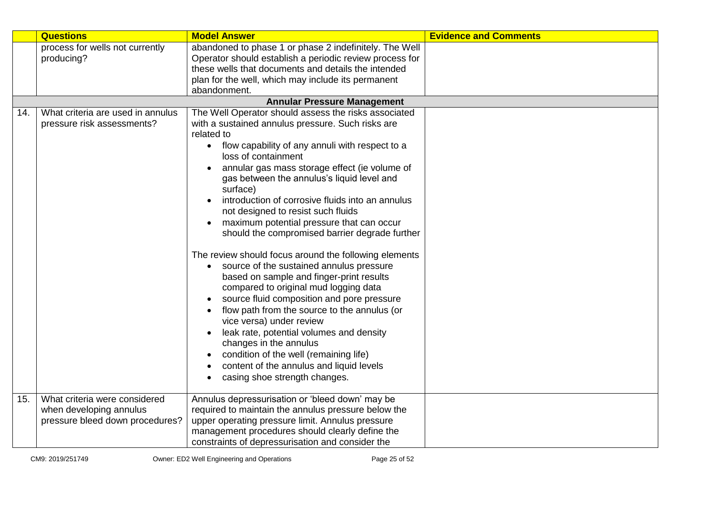|     | <b>Questions</b>                              | <b>Model Answer</b>                                                                                                                                                                                                                                                                                                                                                                                                                                                                                           | <b>Evidence and Comments</b> |
|-----|-----------------------------------------------|---------------------------------------------------------------------------------------------------------------------------------------------------------------------------------------------------------------------------------------------------------------------------------------------------------------------------------------------------------------------------------------------------------------------------------------------------------------------------------------------------------------|------------------------------|
|     | process for wells not currently<br>producing? | abandoned to phase 1 or phase 2 indefinitely. The Well<br>Operator should establish a periodic review process for                                                                                                                                                                                                                                                                                                                                                                                             |                              |
|     |                                               | these wells that documents and details the intended                                                                                                                                                                                                                                                                                                                                                                                                                                                           |                              |
|     |                                               | plan for the well, which may include its permanent                                                                                                                                                                                                                                                                                                                                                                                                                                                            |                              |
|     |                                               | abandonment.                                                                                                                                                                                                                                                                                                                                                                                                                                                                                                  |                              |
|     |                                               | <b>Annular Pressure Management</b>                                                                                                                                                                                                                                                                                                                                                                                                                                                                            |                              |
| 14. | What criteria are used in annulus             | The Well Operator should assess the risks associated                                                                                                                                                                                                                                                                                                                                                                                                                                                          |                              |
|     | pressure risk assessments?                    | with a sustained annulus pressure. Such risks are<br>related to                                                                                                                                                                                                                                                                                                                                                                                                                                               |                              |
|     |                                               | • flow capability of any annuli with respect to a<br>loss of containment                                                                                                                                                                                                                                                                                                                                                                                                                                      |                              |
|     |                                               | annular gas mass storage effect (ie volume of<br>gas between the annulus's liquid level and<br>surface)                                                                                                                                                                                                                                                                                                                                                                                                       |                              |
|     |                                               | introduction of corrosive fluids into an annulus<br>not designed to resist such fluids                                                                                                                                                                                                                                                                                                                                                                                                                        |                              |
|     |                                               | maximum potential pressure that can occur                                                                                                                                                                                                                                                                                                                                                                                                                                                                     |                              |
|     |                                               | should the compromised barrier degrade further                                                                                                                                                                                                                                                                                                                                                                                                                                                                |                              |
|     |                                               | The review should focus around the following elements<br>source of the sustained annulus pressure<br>based on sample and finger-print results<br>compared to original mud logging data<br>source fluid composition and pore pressure<br>flow path from the source to the annulus (or<br>vice versa) under review<br>leak rate, potential volumes and density<br>changes in the annulus<br>condition of the well (remaining life)<br>content of the annulus and liquid levels<br>casing shoe strength changes. |                              |
|     |                                               |                                                                                                                                                                                                                                                                                                                                                                                                                                                                                                               |                              |
| 15. | What criteria were considered                 | Annulus depressurisation or 'bleed down' may be                                                                                                                                                                                                                                                                                                                                                                                                                                                               |                              |
|     | when developing annulus                       | required to maintain the annulus pressure below the                                                                                                                                                                                                                                                                                                                                                                                                                                                           |                              |
|     | pressure bleed down procedures?               | upper operating pressure limit. Annulus pressure                                                                                                                                                                                                                                                                                                                                                                                                                                                              |                              |
|     |                                               | management procedures should clearly define the                                                                                                                                                                                                                                                                                                                                                                                                                                                               |                              |
|     |                                               | constraints of depressurisation and consider the                                                                                                                                                                                                                                                                                                                                                                                                                                                              |                              |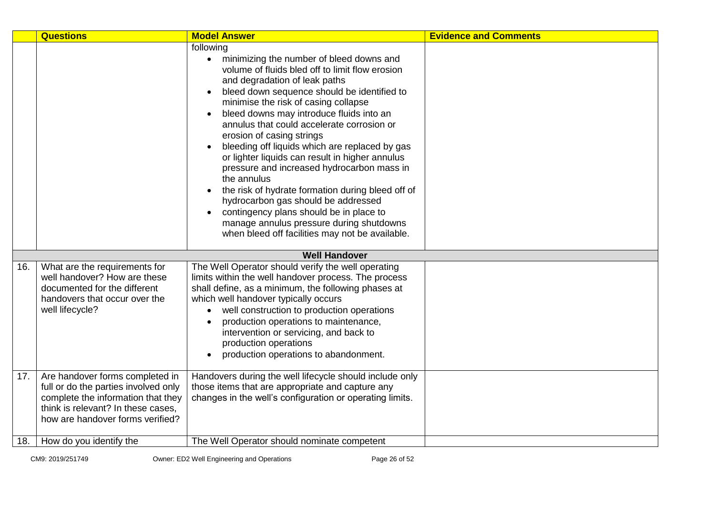|     | <b>Questions</b>                                                                                                                                                                        | <b>Model Answer</b>                                                                                                                                                                                                                                                                                                                                                                                                                                                                                                                                                                                                                                                                                                                                                                                                              | <b>Evidence and Comments</b> |
|-----|-----------------------------------------------------------------------------------------------------------------------------------------------------------------------------------------|----------------------------------------------------------------------------------------------------------------------------------------------------------------------------------------------------------------------------------------------------------------------------------------------------------------------------------------------------------------------------------------------------------------------------------------------------------------------------------------------------------------------------------------------------------------------------------------------------------------------------------------------------------------------------------------------------------------------------------------------------------------------------------------------------------------------------------|------------------------------|
|     |                                                                                                                                                                                         | following<br>minimizing the number of bleed downs and<br>$\bullet$<br>volume of fluids bled off to limit flow erosion<br>and degradation of leak paths<br>bleed down sequence should be identified to<br>$\bullet$<br>minimise the risk of casing collapse<br>bleed downs may introduce fluids into an<br>$\bullet$<br>annulus that could accelerate corrosion or<br>erosion of casing strings<br>bleeding off liquids which are replaced by gas<br>$\bullet$<br>or lighter liquids can result in higher annulus<br>pressure and increased hydrocarbon mass in<br>the annulus<br>the risk of hydrate formation during bleed off of<br>$\bullet$<br>hydrocarbon gas should be addressed<br>contingency plans should be in place to<br>manage annulus pressure during shutdowns<br>when bleed off facilities may not be available. |                              |
|     |                                                                                                                                                                                         | <b>Well Handover</b>                                                                                                                                                                                                                                                                                                                                                                                                                                                                                                                                                                                                                                                                                                                                                                                                             |                              |
| 16. | What are the requirements for<br>well handover? How are these<br>documented for the different<br>handovers that occur over the<br>well lifecycle?                                       | The Well Operator should verify the well operating<br>limits within the well handover process. The process<br>shall define, as a minimum, the following phases at<br>which well handover typically occurs<br>well construction to production operations<br>production operations to maintenance,<br>$\bullet$<br>intervention or servicing, and back to<br>production operations<br>production operations to abandonment.                                                                                                                                                                                                                                                                                                                                                                                                        |                              |
| 17. | Are handover forms completed in<br>full or do the parties involved only<br>complete the information that they<br>think is relevant? In these cases,<br>how are handover forms verified? | Handovers during the well lifecycle should include only<br>those items that are appropriate and capture any<br>changes in the well's configuration or operating limits.                                                                                                                                                                                                                                                                                                                                                                                                                                                                                                                                                                                                                                                          |                              |
| 18. | How do you identify the                                                                                                                                                                 | The Well Operator should nominate competent                                                                                                                                                                                                                                                                                                                                                                                                                                                                                                                                                                                                                                                                                                                                                                                      |                              |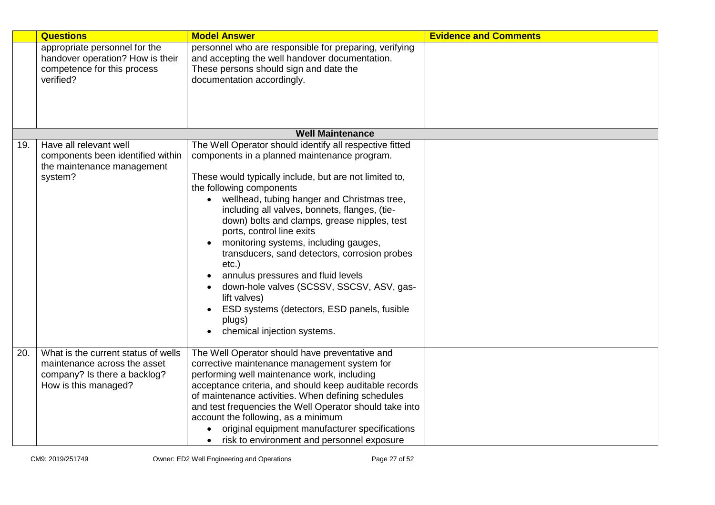|     | <b>Questions</b>                                                                                                            | <b>Model Answer</b>                                                                                                                                                                                                                                                                                                                                                                                                                                                                                                                                                                                                                                                                      | <b>Evidence and Comments</b> |
|-----|-----------------------------------------------------------------------------------------------------------------------------|------------------------------------------------------------------------------------------------------------------------------------------------------------------------------------------------------------------------------------------------------------------------------------------------------------------------------------------------------------------------------------------------------------------------------------------------------------------------------------------------------------------------------------------------------------------------------------------------------------------------------------------------------------------------------------------|------------------------------|
|     | appropriate personnel for the<br>handover operation? How is their<br>competence for this process<br>verified?               | personnel who are responsible for preparing, verifying<br>and accepting the well handover documentation.<br>These persons should sign and date the<br>documentation accordingly.                                                                                                                                                                                                                                                                                                                                                                                                                                                                                                         |                              |
|     |                                                                                                                             | <b>Well Maintenance</b>                                                                                                                                                                                                                                                                                                                                                                                                                                                                                                                                                                                                                                                                  |                              |
| 19. | Have all relevant well<br>components been identified within<br>the maintenance management<br>system?                        | The Well Operator should identify all respective fitted<br>components in a planned maintenance program.<br>These would typically include, but are not limited to,<br>the following components<br>wellhead, tubing hanger and Christmas tree,<br>including all valves, bonnets, flanges, (tie-<br>down) bolts and clamps, grease nipples, test<br>ports, control line exits<br>monitoring systems, including gauges,<br>$\bullet$<br>transducers, sand detectors, corrosion probes<br>$etc.$ )<br>annulus pressures and fluid levels<br>down-hole valves (SCSSV, SSCSV, ASV, gas-<br>lift valves)<br>ESD systems (detectors, ESD panels, fusible<br>plugs)<br>chemical injection systems. |                              |
| 20. | What is the current status of wells<br>maintenance across the asset<br>company? Is there a backlog?<br>How is this managed? | The Well Operator should have preventative and<br>corrective maintenance management system for<br>performing well maintenance work, including<br>acceptance criteria, and should keep auditable records<br>of maintenance activities. When defining schedules<br>and test frequencies the Well Operator should take into<br>account the following, as a minimum<br>original equipment manufacturer specifications<br>risk to environment and personnel exposure                                                                                                                                                                                                                          |                              |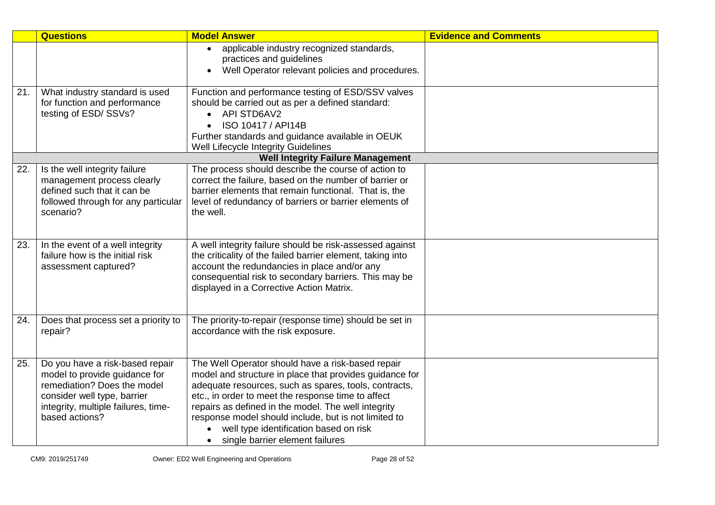|     | <b>Questions</b>                                                   | <b>Model Answer</b>                                                                                       | <b>Evidence and Comments</b> |
|-----|--------------------------------------------------------------------|-----------------------------------------------------------------------------------------------------------|------------------------------|
|     |                                                                    | applicable industry recognized standards,<br>$\bullet$                                                    |                              |
|     |                                                                    | practices and guidelines                                                                                  |                              |
|     |                                                                    | Well Operator relevant policies and procedures.<br>$\bullet$                                              |                              |
| 21. | What industry standard is used                                     | Function and performance testing of ESD/SSV valves                                                        |                              |
|     | for function and performance                                       | should be carried out as per a defined standard:                                                          |                              |
|     | testing of ESD/SSVs?                                               | <b>API STD6AV2</b>                                                                                        |                              |
|     |                                                                    | ISO 10417 / API14B                                                                                        |                              |
|     |                                                                    | Further standards and guidance available in OEUK                                                          |                              |
|     |                                                                    | Well Lifecycle Integrity Guidelines                                                                       |                              |
|     |                                                                    | <b>Well Integrity Failure Management</b>                                                                  |                              |
| 22. | Is the well integrity failure                                      | The process should describe the course of action to                                                       |                              |
|     | management process clearly<br>defined such that it can be          | correct the failure, based on the number of barrier or                                                    |                              |
|     |                                                                    | barrier elements that remain functional. That is, the                                                     |                              |
|     | followed through for any particular<br>scenario?                   | level of redundancy of barriers or barrier elements of<br>the well.                                       |                              |
|     |                                                                    |                                                                                                           |                              |
|     |                                                                    |                                                                                                           |                              |
| 23. | In the event of a well integrity                                   | A well integrity failure should be risk-assessed against                                                  |                              |
|     | failure how is the initial risk                                    | the criticality of the failed barrier element, taking into                                                |                              |
|     | assessment captured?                                               | account the redundancies in place and/or any                                                              |                              |
|     |                                                                    | consequential risk to secondary barriers. This may be                                                     |                              |
|     |                                                                    | displayed in a Corrective Action Matrix.                                                                  |                              |
|     |                                                                    |                                                                                                           |                              |
| 24. | Does that process set a priority to                                | The priority-to-repair (response time) should be set in                                                   |                              |
|     | repair?                                                            | accordance with the risk exposure.                                                                        |                              |
|     |                                                                    |                                                                                                           |                              |
|     |                                                                    |                                                                                                           |                              |
| 25. | Do you have a risk-based repair                                    | The Well Operator should have a risk-based repair                                                         |                              |
|     | model to provide guidance for                                      | model and structure in place that provides guidance for                                                   |                              |
|     | remediation? Does the model                                        | adequate resources, such as spares, tools, contracts,                                                     |                              |
|     | consider well type, barrier<br>integrity, multiple failures, time- | etc., in order to meet the response time to affect<br>repairs as defined in the model. The well integrity |                              |
|     | based actions?                                                     | response model should include, but is not limited to                                                      |                              |
|     |                                                                    | well type identification based on risk                                                                    |                              |
|     |                                                                    | single barrier element failures<br>$\bullet$                                                              |                              |
|     |                                                                    |                                                                                                           |                              |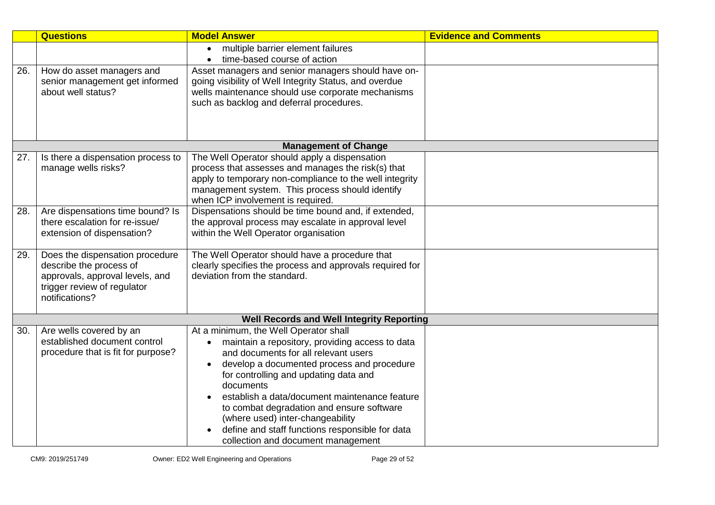|     | <b>Questions</b>                   | <b>Model Answer</b>                                      | <b>Evidence and Comments</b> |
|-----|------------------------------------|----------------------------------------------------------|------------------------------|
|     |                                    | multiple barrier element failures<br>$\bullet$           |                              |
|     |                                    | time-based course of action<br>$\bullet$                 |                              |
| 26. | How do asset managers and          | Asset managers and senior managers should have on-       |                              |
|     | senior management get informed     | going visibility of Well Integrity Status, and overdue   |                              |
|     | about well status?                 | wells maintenance should use corporate mechanisms        |                              |
|     |                                    | such as backlog and deferral procedures.                 |                              |
|     |                                    |                                                          |                              |
|     |                                    |                                                          |                              |
|     |                                    | <b>Management of Change</b>                              |                              |
| 27. | Is there a dispensation process to | The Well Operator should apply a dispensation            |                              |
|     | manage wells risks?                | process that assesses and manages the risk(s) that       |                              |
|     |                                    | apply to temporary non-compliance to the well integrity  |                              |
|     |                                    | management system. This process should identify          |                              |
|     |                                    | when ICP involvement is required.                        |                              |
| 28. | Are dispensations time bound? Is   | Dispensations should be time bound and, if extended,     |                              |
|     | there escalation for re-issue/     | the approval process may escalate in approval level      |                              |
|     | extension of dispensation?         | within the Well Operator organisation                    |                              |
|     |                                    |                                                          |                              |
| 29. | Does the dispensation procedure    | The Well Operator should have a procedure that           |                              |
|     | describe the process of            | clearly specifies the process and approvals required for |                              |
|     | approvals, approval levels, and    | deviation from the standard.                             |                              |
|     | trigger review of regulator        |                                                          |                              |
|     | notifications?                     |                                                          |                              |
|     |                                    | <b>Well Records and Well Integrity Reporting</b>         |                              |
| 30. | Are wells covered by an            | At a minimum, the Well Operator shall                    |                              |
|     | established document control       | maintain a repository, providing access to data          |                              |
|     | procedure that is fit for purpose? | and documents for all relevant users                     |                              |
|     |                                    | develop a documented process and procedure               |                              |
|     |                                    | for controlling and updating data and                    |                              |
|     |                                    | documents                                                |                              |
|     |                                    | establish a data/document maintenance feature            |                              |
|     |                                    | to combat degradation and ensure software                |                              |
|     |                                    | (where used) inter-changeability                         |                              |
|     |                                    | define and staff functions responsible for data          |                              |
|     |                                    | collection and document management                       |                              |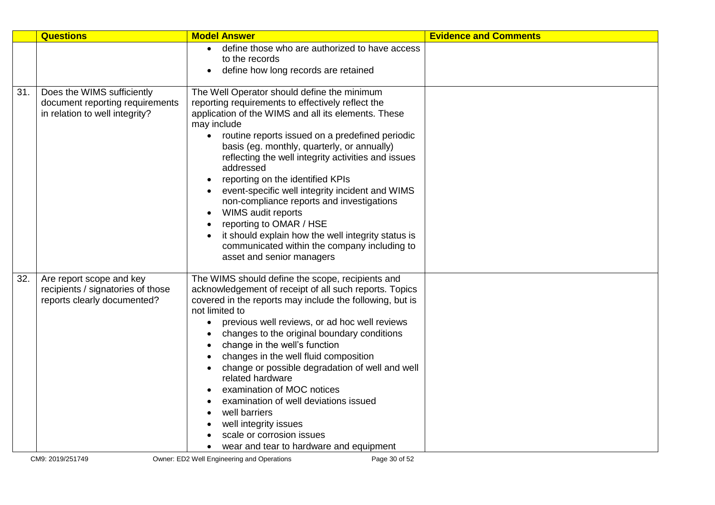|     | <b>Questions</b>                                                                                | <b>Model Answer</b>                                                                                                                                                                                                                                                                                                                                                                                                                                                                                                                                                                                                                                                  | <b>Evidence and Comments</b> |
|-----|-------------------------------------------------------------------------------------------------|----------------------------------------------------------------------------------------------------------------------------------------------------------------------------------------------------------------------------------------------------------------------------------------------------------------------------------------------------------------------------------------------------------------------------------------------------------------------------------------------------------------------------------------------------------------------------------------------------------------------------------------------------------------------|------------------------------|
|     |                                                                                                 | define those who are authorized to have access<br>to the records<br>define how long records are retained                                                                                                                                                                                                                                                                                                                                                                                                                                                                                                                                                             |                              |
| 31. | Does the WIMS sufficiently<br>document reporting requirements<br>in relation to well integrity? | The Well Operator should define the minimum<br>reporting requirements to effectively reflect the<br>application of the WIMS and all its elements. These<br>may include<br>routine reports issued on a predefined periodic<br>basis (eg. monthly, quarterly, or annually)<br>reflecting the well integrity activities and issues<br>addressed<br>reporting on the identified KPIs<br>event-specific well integrity incident and WIMS<br>non-compliance reports and investigations<br>WIMS audit reports<br>reporting to OMAR / HSE<br>it should explain how the well integrity status is<br>communicated within the company including to<br>asset and senior managers |                              |
| 32. | Are report scope and key<br>recipients / signatories of those<br>reports clearly documented?    | The WIMS should define the scope, recipients and<br>acknowledgement of receipt of all such reports. Topics<br>covered in the reports may include the following, but is<br>not limited to<br>previous well reviews, or ad hoc well reviews<br>$\bullet$<br>changes to the original boundary conditions<br>change in the well's function<br>changes in the well fluid composition<br>change or possible degradation of well and well<br>related hardware<br>examination of MOC notices<br>examination of well deviations issued<br>well barriers<br>well integrity issues<br>scale or corrosion issues<br>wear and tear to hardware and equipment                      |                              |
|     | CM9: 2019/251749                                                                                | Owner: ED2 Well Engineering and Operations<br>Page 30 of 52                                                                                                                                                                                                                                                                                                                                                                                                                                                                                                                                                                                                          |                              |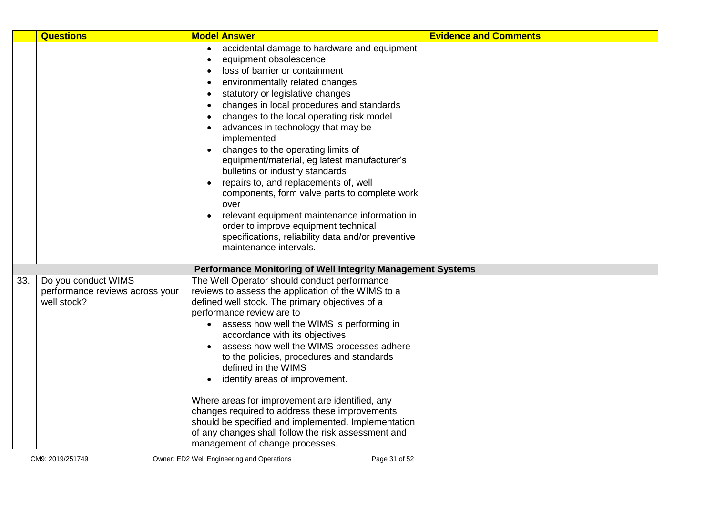|     | <b>Questions</b>                                                      | <b>Model Answer</b>                                                                                                                                                                                                                                                                                                                                                                                                                                                                                                                                                                                                                                                                                                                                                      | <b>Evidence and Comments</b> |
|-----|-----------------------------------------------------------------------|--------------------------------------------------------------------------------------------------------------------------------------------------------------------------------------------------------------------------------------------------------------------------------------------------------------------------------------------------------------------------------------------------------------------------------------------------------------------------------------------------------------------------------------------------------------------------------------------------------------------------------------------------------------------------------------------------------------------------------------------------------------------------|------------------------------|
|     |                                                                       | accidental damage to hardware and equipment<br>$\bullet$<br>equipment obsolescence<br>$\bullet$<br>loss of barrier or containment<br>environmentally related changes<br>statutory or legislative changes<br>changes in local procedures and standards<br>changes to the local operating risk model<br>advances in technology that may be<br>implemented<br>changes to the operating limits of<br>equipment/material, eg latest manufacturer's<br>bulletins or industry standards<br>repairs to, and replacements of, well<br>$\bullet$<br>components, form valve parts to complete work<br>over<br>relevant equipment maintenance information in<br>order to improve equipment technical<br>specifications, reliability data and/or preventive<br>maintenance intervals. |                              |
|     |                                                                       | Performance Monitoring of Well Integrity Management Systems                                                                                                                                                                                                                                                                                                                                                                                                                                                                                                                                                                                                                                                                                                              |                              |
| 33. | Do you conduct WIMS<br>performance reviews across your<br>well stock? | The Well Operator should conduct performance<br>reviews to assess the application of the WIMS to a<br>defined well stock. The primary objectives of a<br>performance review are to<br>assess how well the WIMS is performing in<br>$\bullet$<br>accordance with its objectives<br>assess how well the WIMS processes adhere<br>to the policies, procedures and standards<br>defined in the WIMS<br>identify areas of improvement.<br>$\bullet$<br>Where areas for improvement are identified, any<br>changes required to address these improvements<br>should be specified and implemented. Implementation<br>of any changes shall follow the risk assessment and<br>management of change processes.                                                                     |                              |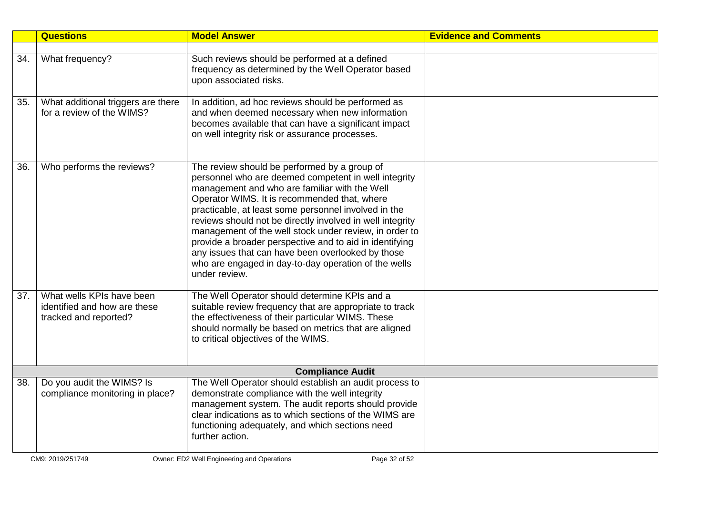|     | <b>Questions</b>                                                                   | <b>Model Answer</b>                                                                                                                                                                                                                                                                                                                                                                                                                                                                                                                                                           | <b>Evidence and Comments</b> |
|-----|------------------------------------------------------------------------------------|-------------------------------------------------------------------------------------------------------------------------------------------------------------------------------------------------------------------------------------------------------------------------------------------------------------------------------------------------------------------------------------------------------------------------------------------------------------------------------------------------------------------------------------------------------------------------------|------------------------------|
|     |                                                                                    |                                                                                                                                                                                                                                                                                                                                                                                                                                                                                                                                                                               |                              |
| 34. | What frequency?                                                                    | Such reviews should be performed at a defined<br>frequency as determined by the Well Operator based<br>upon associated risks.                                                                                                                                                                                                                                                                                                                                                                                                                                                 |                              |
| 35. | What additional triggers are there<br>for a review of the WIMS?                    | In addition, ad hoc reviews should be performed as<br>and when deemed necessary when new information<br>becomes available that can have a significant impact<br>on well integrity risk or assurance processes.                                                                                                                                                                                                                                                                                                                                                                |                              |
| 36. | Who performs the reviews?                                                          | The review should be performed by a group of<br>personnel who are deemed competent in well integrity<br>management and who are familiar with the Well<br>Operator WIMS. It is recommended that, where<br>practicable, at least some personnel involved in the<br>reviews should not be directly involved in well integrity<br>management of the well stock under review, in order to<br>provide a broader perspective and to aid in identifying<br>any issues that can have been overlooked by those<br>who are engaged in day-to-day operation of the wells<br>under review. |                              |
| 37. | What wells KPIs have been<br>identified and how are these<br>tracked and reported? | The Well Operator should determine KPIs and a<br>suitable review frequency that are appropriate to track<br>the effectiveness of their particular WIMS. These<br>should normally be based on metrics that are aligned<br>to critical objectives of the WIMS.                                                                                                                                                                                                                                                                                                                  |                              |
|     |                                                                                    | <b>Compliance Audit</b>                                                                                                                                                                                                                                                                                                                                                                                                                                                                                                                                                       |                              |
| 38. | Do you audit the WIMS? Is<br>compliance monitoring in place?                       | The Well Operator should establish an audit process to<br>demonstrate compliance with the well integrity<br>management system. The audit reports should provide<br>clear indications as to which sections of the WIMS are<br>functioning adequately, and which sections need<br>further action.                                                                                                                                                                                                                                                                               |                              |
|     | CM9: 2019/251749                                                                   | Owner: ED2 Well Engineering and Operations<br>Page 32 of 52                                                                                                                                                                                                                                                                                                                                                                                                                                                                                                                   |                              |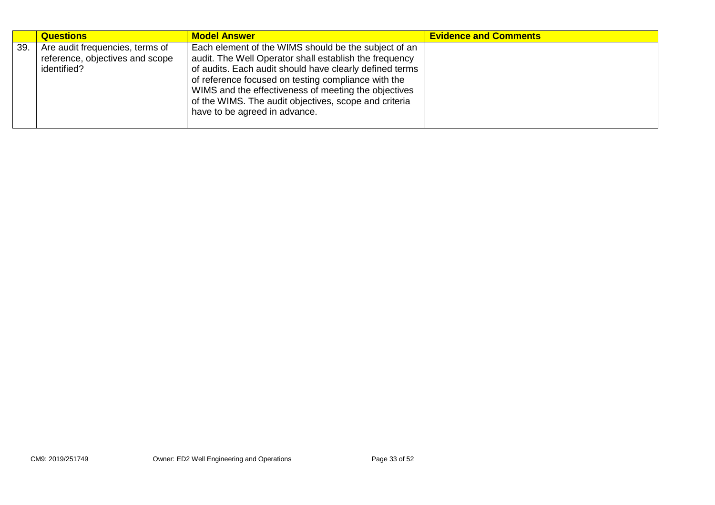|     | <b>Questions</b>                                                                  | <b>Model Answer</b>                                                                                                                                                                                                                                                                                                                                                                | <b>Evidence and Comments</b> |
|-----|-----------------------------------------------------------------------------------|------------------------------------------------------------------------------------------------------------------------------------------------------------------------------------------------------------------------------------------------------------------------------------------------------------------------------------------------------------------------------------|------------------------------|
| 39. | Are audit frequencies, terms of<br>reference, objectives and scope<br>identified? | Each element of the WIMS should be the subject of an<br>audit. The Well Operator shall establish the frequency<br>of audits. Each audit should have clearly defined terms<br>of reference focused on testing compliance with the<br>WIMS and the effectiveness of meeting the objectives<br>of the WIMS. The audit objectives, scope and criteria<br>have to be agreed in advance. |                              |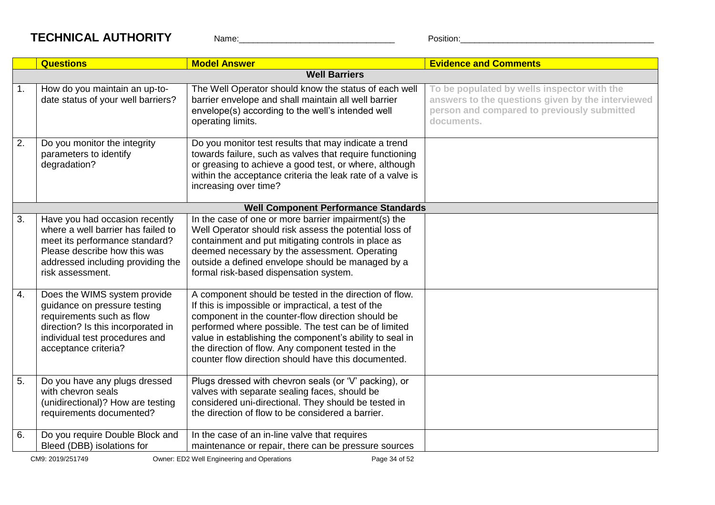## **TECHNICAL AUTHORITY** Name: Name: Position:

|                  | <b>Questions</b>                                                                                                                                                                                | <b>Model Answer</b>                                                                                                                                                                                                                                                                                                                                                                                 | <b>Evidence and Comments</b>                                                                                                                                  |
|------------------|-------------------------------------------------------------------------------------------------------------------------------------------------------------------------------------------------|-----------------------------------------------------------------------------------------------------------------------------------------------------------------------------------------------------------------------------------------------------------------------------------------------------------------------------------------------------------------------------------------------------|---------------------------------------------------------------------------------------------------------------------------------------------------------------|
|                  |                                                                                                                                                                                                 | <b>Well Barriers</b>                                                                                                                                                                                                                                                                                                                                                                                |                                                                                                                                                               |
| 1.               | How do you maintain an up-to-<br>date status of your well barriers?                                                                                                                             | The Well Operator should know the status of each well<br>barrier envelope and shall maintain all well barrier<br>envelope(s) according to the well's intended well<br>operating limits.                                                                                                                                                                                                             | To be populated by wells inspector with the<br>answers to the questions given by the interviewed<br>person and compared to previously submitted<br>documents. |
| 2.               | Do you monitor the integrity<br>parameters to identify<br>degradation?                                                                                                                          | Do you monitor test results that may indicate a trend<br>towards failure, such as valves that require functioning<br>or greasing to achieve a good test, or where, although<br>within the acceptance criteria the leak rate of a valve is<br>increasing over time?                                                                                                                                  |                                                                                                                                                               |
|                  |                                                                                                                                                                                                 | <b>Well Component Performance Standards</b>                                                                                                                                                                                                                                                                                                                                                         |                                                                                                                                                               |
| $\overline{3}$ . | Have you had occasion recently<br>where a well barrier has failed to<br>meet its performance standard?<br>Please describe how this was<br>addressed including providing the<br>risk assessment. | In the case of one or more barrier impairment(s) the<br>Well Operator should risk assess the potential loss of<br>containment and put mitigating controls in place as<br>deemed necessary by the assessment. Operating<br>outside a defined envelope should be managed by a<br>formal risk-based dispensation system.                                                                               |                                                                                                                                                               |
| 4.               | Does the WIMS system provide<br>guidance on pressure testing<br>requirements such as flow<br>direction? Is this incorporated in<br>individual test procedures and<br>acceptance criteria?       | A component should be tested in the direction of flow.<br>If this is impossible or impractical, a test of the<br>component in the counter-flow direction should be<br>performed where possible. The test can be of limited<br>value in establishing the component's ability to seal in<br>the direction of flow. Any component tested in the<br>counter flow direction should have this documented. |                                                                                                                                                               |
| 5.               | Do you have any plugs dressed<br>with chevron seals<br>(unidirectional)? How are testing<br>requirements documented?                                                                            | Plugs dressed with chevron seals (or 'V' packing), or<br>valves with separate sealing faces, should be<br>considered uni-directional. They should be tested in<br>the direction of flow to be considered a barrier.                                                                                                                                                                                 |                                                                                                                                                               |
| 6.               | Do you require Double Block and<br>Bleed (DBB) isolations for                                                                                                                                   | In the case of an in-line valve that requires<br>maintenance or repair, there can be pressure sources                                                                                                                                                                                                                                                                                               |                                                                                                                                                               |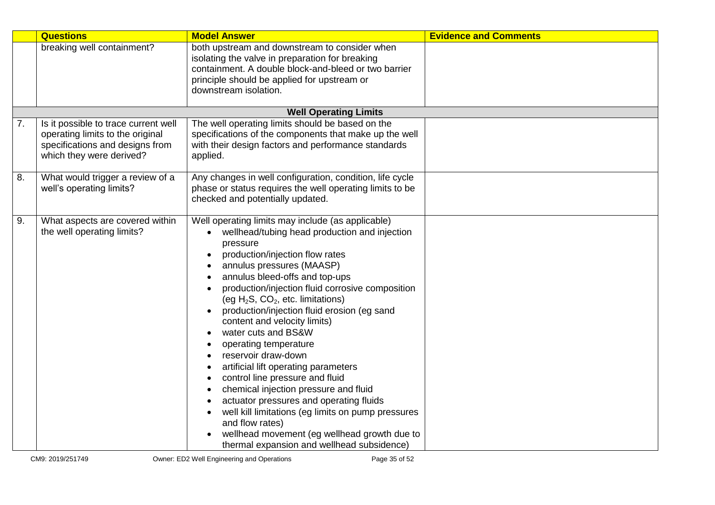|    | <b>Questions</b>                     | <b>Model Answer</b>                                                  | <b>Evidence and Comments</b> |
|----|--------------------------------------|----------------------------------------------------------------------|------------------------------|
|    | breaking well containment?           | both upstream and downstream to consider when                        |                              |
|    |                                      | isolating the valve in preparation for breaking                      |                              |
|    |                                      | containment. A double block-and-bleed or two barrier                 |                              |
|    |                                      | principle should be applied for upstream or<br>downstream isolation. |                              |
|    |                                      |                                                                      |                              |
|    |                                      | <b>Well Operating Limits</b>                                         |                              |
| 7. | Is it possible to trace current well | The well operating limits should be based on the                     |                              |
|    | operating limits to the original     | specifications of the components that make up the well               |                              |
|    | specifications and designs from      | with their design factors and performance standards                  |                              |
|    | which they were derived?             | applied.                                                             |                              |
| 8. | What would trigger a review of a     | Any changes in well configuration, condition, life cycle             |                              |
|    | well's operating limits?             | phase or status requires the well operating limits to be             |                              |
|    |                                      | checked and potentially updated.                                     |                              |
|    |                                      |                                                                      |                              |
| 9. | What aspects are covered within      | Well operating limits may include (as applicable)                    |                              |
|    | the well operating limits?           | wellhead/tubing head production and injection                        |                              |
|    |                                      | pressure<br>production/injection flow rates                          |                              |
|    |                                      | annulus pressures (MAASP)                                            |                              |
|    |                                      | annulus bleed-offs and top-ups                                       |                              |
|    |                                      | production/injection fluid corrosive composition                     |                              |
|    |                                      | (eg $H_2S$ , $CO_2$ , etc. limitations)                              |                              |
|    |                                      | production/injection fluid erosion (eg sand                          |                              |
|    |                                      | content and velocity limits)                                         |                              |
|    |                                      | water cuts and BS&W                                                  |                              |
|    |                                      | operating temperature                                                |                              |
|    |                                      | reservoir draw-down                                                  |                              |
|    |                                      | artificial lift operating parameters                                 |                              |
|    |                                      | control line pressure and fluid                                      |                              |
|    |                                      | chemical injection pressure and fluid                                |                              |
|    |                                      | actuator pressures and operating fluids                              |                              |
|    |                                      | well kill limitations (eg limits on pump pressures                   |                              |
|    |                                      | and flow rates)                                                      |                              |
|    |                                      | wellhead movement (eg wellhead growth due to                         |                              |
|    |                                      | thermal expansion and wellhead subsidence)                           |                              |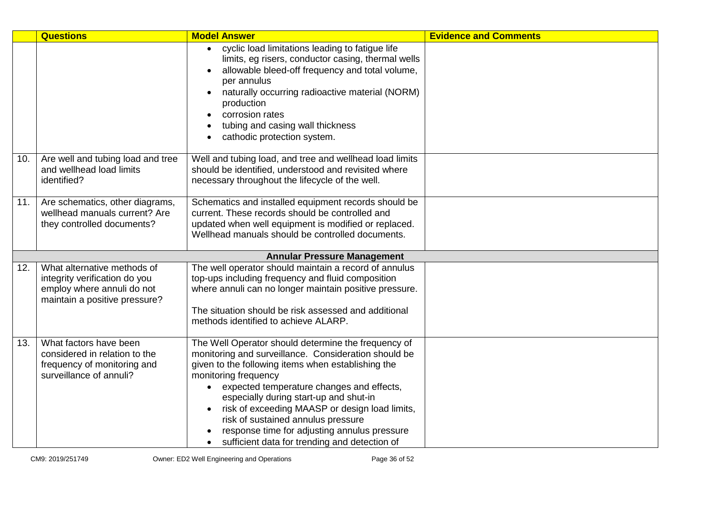|     | <b>Questions</b>                                                                                                            | <b>Model Answer</b>                                                                                                                                                                                                                                                                                                                                                                                                                                                                                 | <b>Evidence and Comments</b> |  |  |
|-----|-----------------------------------------------------------------------------------------------------------------------------|-----------------------------------------------------------------------------------------------------------------------------------------------------------------------------------------------------------------------------------------------------------------------------------------------------------------------------------------------------------------------------------------------------------------------------------------------------------------------------------------------------|------------------------------|--|--|
|     |                                                                                                                             | cyclic load limitations leading to fatigue life<br>$\bullet$<br>limits, eg risers, conductor casing, thermal wells<br>allowable bleed-off frequency and total volume,<br>per annulus<br>naturally occurring radioactive material (NORM)<br>production<br>corrosion rates<br>tubing and casing wall thickness<br>cathodic protection system.                                                                                                                                                         |                              |  |  |
| 10. | Are well and tubing load and tree<br>and wellhead load limits<br>identified?                                                | Well and tubing load, and tree and wellhead load limits<br>should be identified, understood and revisited where<br>necessary throughout the lifecycle of the well.                                                                                                                                                                                                                                                                                                                                  |                              |  |  |
| 11. | Are schematics, other diagrams,<br>wellhead manuals current? Are<br>they controlled documents?                              | Schematics and installed equipment records should be<br>current. These records should be controlled and<br>updated when well equipment is modified or replaced.<br>Wellhead manuals should be controlled documents.                                                                                                                                                                                                                                                                                 |                              |  |  |
|     | <b>Annular Pressure Management</b>                                                                                          |                                                                                                                                                                                                                                                                                                                                                                                                                                                                                                     |                              |  |  |
| 12. | What alternative methods of<br>integrity verification do you<br>employ where annuli do not<br>maintain a positive pressure? | The well operator should maintain a record of annulus<br>top-ups including frequency and fluid composition<br>where annuli can no longer maintain positive pressure.<br>The situation should be risk assessed and additional<br>methods identified to achieve ALARP.                                                                                                                                                                                                                                |                              |  |  |
| 13. | What factors have been<br>considered in relation to the<br>frequency of monitoring and<br>surveillance of annuli?           | The Well Operator should determine the frequency of<br>monitoring and surveillance. Consideration should be<br>given to the following items when establishing the<br>monitoring frequency<br>expected temperature changes and effects,<br>$\bullet$<br>especially during start-up and shut-in<br>risk of exceeding MAASP or design load limits,<br>$\bullet$<br>risk of sustained annulus pressure<br>response time for adjusting annulus pressure<br>sufficient data for trending and detection of |                              |  |  |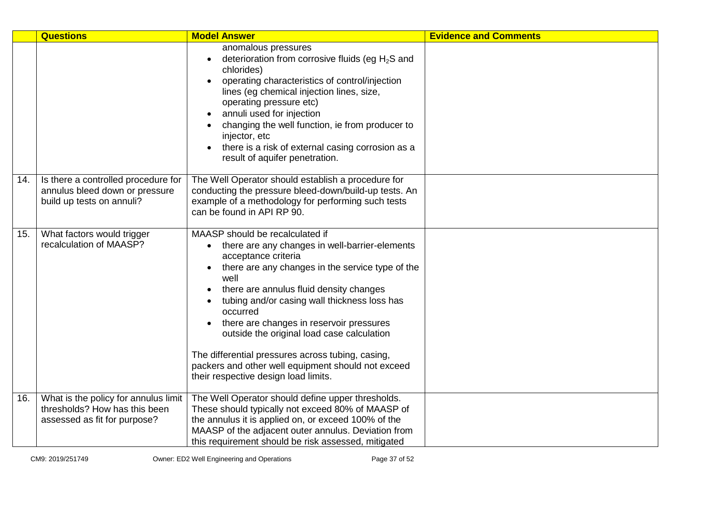|     | <b>Questions</b>                                                                                      | <b>Model Answer</b>                                                                                                                                                                                                                                                                                                                                                                                                                                                                                                                                | <b>Evidence and Comments</b> |
|-----|-------------------------------------------------------------------------------------------------------|----------------------------------------------------------------------------------------------------------------------------------------------------------------------------------------------------------------------------------------------------------------------------------------------------------------------------------------------------------------------------------------------------------------------------------------------------------------------------------------------------------------------------------------------------|------------------------------|
|     |                                                                                                       | anomalous pressures<br>deterioration from corrosive fluids (eg $H_2S$ and<br>chlorides)<br>operating characteristics of control/injection<br>lines (eg chemical injection lines, size,<br>operating pressure etc)<br>annuli used for injection<br>changing the well function, ie from producer to<br>injector, etc<br>there is a risk of external casing corrosion as a<br>result of aquifer penetration.                                                                                                                                          |                              |
| 14. | Is there a controlled procedure for<br>annulus bleed down or pressure<br>build up tests on annuli?    | The Well Operator should establish a procedure for<br>conducting the pressure bleed-down/build-up tests. An<br>example of a methodology for performing such tests<br>can be found in API RP 90.                                                                                                                                                                                                                                                                                                                                                    |                              |
| 15. | What factors would trigger<br>recalculation of MAASP?                                                 | MAASP should be recalculated if<br>there are any changes in well-barrier-elements<br>acceptance criteria<br>there are any changes in the service type of the<br>$\bullet$<br>well<br>there are annulus fluid density changes<br>tubing and/or casing wall thickness loss has<br>occurred<br>there are changes in reservoir pressures<br>$\bullet$<br>outside the original load case calculation<br>The differential pressures across tubing, casing,<br>packers and other well equipment should not exceed<br>their respective design load limits. |                              |
| 16. | What is the policy for annulus limit<br>thresholds? How has this been<br>assessed as fit for purpose? | The Well Operator should define upper thresholds.<br>These should typically not exceed 80% of MAASP of<br>the annulus it is applied on, or exceed 100% of the<br>MAASP of the adjacent outer annulus. Deviation from<br>this requirement should be risk assessed, mitigated                                                                                                                                                                                                                                                                        |                              |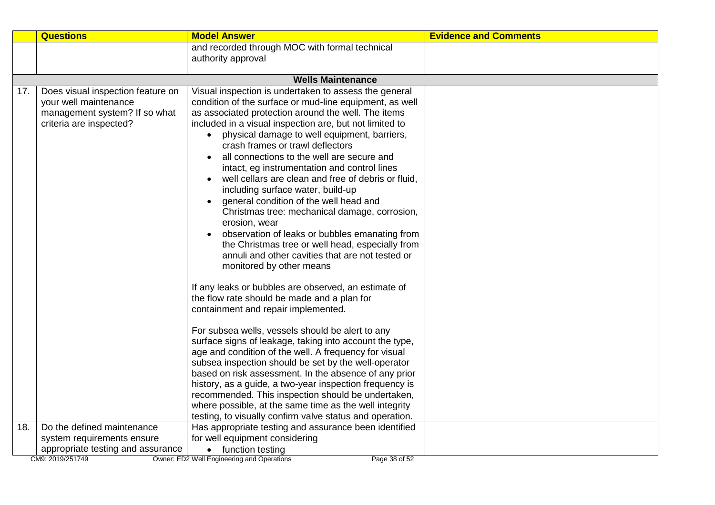|     | <b>Questions</b>                  | <b>Model Answer</b>                                                                                  | <b>Evidence and Comments</b> |
|-----|-----------------------------------|------------------------------------------------------------------------------------------------------|------------------------------|
|     |                                   | and recorded through MOC with formal technical                                                       |                              |
|     |                                   | authority approval                                                                                   |                              |
|     |                                   |                                                                                                      |                              |
|     |                                   | <b>Wells Maintenance</b>                                                                             |                              |
| 17. | Does visual inspection feature on | Visual inspection is undertaken to assess the general                                                |                              |
|     | your well maintenance             | condition of the surface or mud-line equipment, as well                                              |                              |
|     | management system? If so what     | as associated protection around the well. The items                                                  |                              |
|     | criteria are inspected?           | included in a visual inspection are, but not limited to                                              |                              |
|     |                                   | physical damage to well equipment, barriers,<br>crash frames or trawl deflectors                     |                              |
|     |                                   |                                                                                                      |                              |
|     |                                   | all connections to the well are secure and                                                           |                              |
|     |                                   | intact, eg instrumentation and control lines                                                         |                              |
|     |                                   | well cellars are clean and free of debris or fluid,                                                  |                              |
|     |                                   | including surface water, build-up                                                                    |                              |
|     |                                   | general condition of the well head and                                                               |                              |
|     |                                   | Christmas tree: mechanical damage, corrosion,                                                        |                              |
|     |                                   | erosion, wear                                                                                        |                              |
|     |                                   | observation of leaks or bubbles emanating from                                                       |                              |
|     |                                   | the Christmas tree or well head, especially from<br>annuli and other cavities that are not tested or |                              |
|     |                                   | monitored by other means                                                                             |                              |
|     |                                   |                                                                                                      |                              |
|     |                                   | If any leaks or bubbles are observed, an estimate of                                                 |                              |
|     |                                   | the flow rate should be made and a plan for                                                          |                              |
|     |                                   | containment and repair implemented.                                                                  |                              |
|     |                                   | For subsea wells, vessels should be alert to any                                                     |                              |
|     |                                   | surface signs of leakage, taking into account the type,                                              |                              |
|     |                                   | age and condition of the well. A frequency for visual                                                |                              |
|     |                                   | subsea inspection should be set by the well-operator                                                 |                              |
|     |                                   | based on risk assessment. In the absence of any prior                                                |                              |
|     |                                   | history, as a guide, a two-year inspection frequency is                                              |                              |
|     |                                   | recommended. This inspection should be undertaken,                                                   |                              |
|     |                                   | where possible, at the same time as the well integrity                                               |                              |
|     |                                   | testing, to visually confirm valve status and operation.                                             |                              |
| 18. | Do the defined maintenance        | Has appropriate testing and assurance been identified                                                |                              |
|     | system requirements ensure        | for well equipment considering                                                                       |                              |
|     | appropriate testing and assurance | • function testing                                                                                   |                              |
|     | CM9: 2019/251749                  | Owner: ED2 Well Engineering and Operations<br>Page 38 of 52                                          |                              |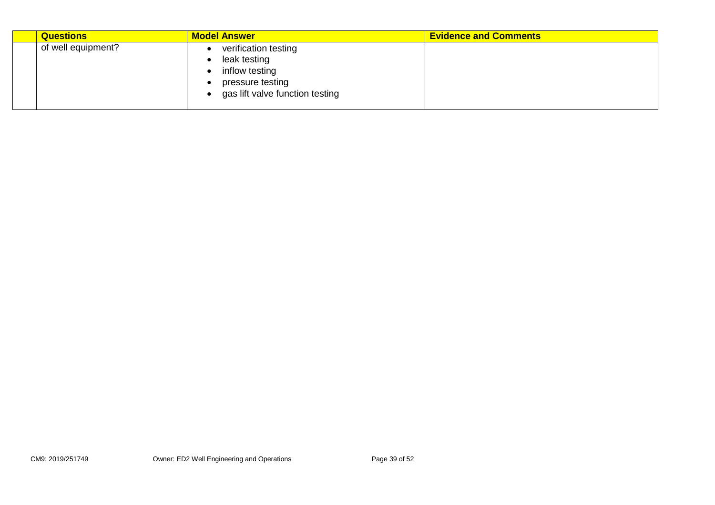| <b>Questions</b>   | <b>Model Answer</b>                                                                                           | <b>Evidence and Comments</b> |
|--------------------|---------------------------------------------------------------------------------------------------------------|------------------------------|
| of well equipment? | verification testing<br>leak testing<br>inflow testing<br>pressure testing<br>gas lift valve function testing |                              |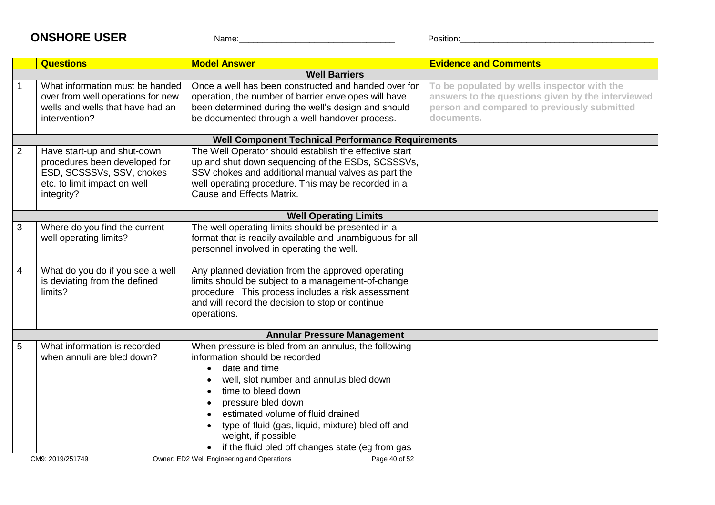## **ONSHORE USER** Name: Name: Position:

|   | <b>Questions</b>                                                                                                                        | <b>Model Answer</b>                                                                                                                                                                                                                                                                                                                                                 | <b>Evidence and Comments</b>                                                                                                                                  |
|---|-----------------------------------------------------------------------------------------------------------------------------------------|---------------------------------------------------------------------------------------------------------------------------------------------------------------------------------------------------------------------------------------------------------------------------------------------------------------------------------------------------------------------|---------------------------------------------------------------------------------------------------------------------------------------------------------------|
|   |                                                                                                                                         | <b>Well Barriers</b>                                                                                                                                                                                                                                                                                                                                                |                                                                                                                                                               |
|   | What information must be handed<br>over from well operations for new<br>wells and wells that have had an<br>intervention?               | Once a well has been constructed and handed over for<br>operation, the number of barrier envelopes will have<br>been determined during the well's design and should<br>be documented through a well handover process.                                                                                                                                               | To be populated by wells inspector with the<br>answers to the questions given by the interviewed<br>person and compared to previously submitted<br>documents. |
|   |                                                                                                                                         | <b>Well Component Technical Performance Requirements</b>                                                                                                                                                                                                                                                                                                            |                                                                                                                                                               |
| 2 | Have start-up and shut-down<br>procedures been developed for<br>ESD, SCSSSVs, SSV, chokes<br>etc. to limit impact on well<br>integrity? | The Well Operator should establish the effective start<br>up and shut down sequencing of the ESDs, SCSSSVs,<br>SSV chokes and additional manual valves as part the<br>well operating procedure. This may be recorded in a<br>Cause and Effects Matrix.                                                                                                              |                                                                                                                                                               |
|   |                                                                                                                                         | <b>Well Operating Limits</b>                                                                                                                                                                                                                                                                                                                                        |                                                                                                                                                               |
| 3 | Where do you find the current<br>well operating limits?                                                                                 | The well operating limits should be presented in a<br>format that is readily available and unambiguous for all<br>personnel involved in operating the well.                                                                                                                                                                                                         |                                                                                                                                                               |
| 4 | What do you do if you see a well<br>is deviating from the defined<br>limits?                                                            | Any planned deviation from the approved operating<br>limits should be subject to a management-of-change<br>procedure. This process includes a risk assessment<br>and will record the decision to stop or continue<br>operations.                                                                                                                                    |                                                                                                                                                               |
|   |                                                                                                                                         | <b>Annular Pressure Management</b>                                                                                                                                                                                                                                                                                                                                  |                                                                                                                                                               |
| 5 | What information is recorded<br>when annuli are bled down?                                                                              | When pressure is bled from an annulus, the following<br>information should be recorded<br>date and time<br>well, slot number and annulus bled down<br>time to bleed down<br>pressure bled down<br>estimated volume of fluid drained<br>type of fluid (gas, liquid, mixture) bled off and<br>weight, if possible<br>if the fluid bled off changes state (eg from gas |                                                                                                                                                               |
|   | CM9: 2019/251749                                                                                                                        | Owner: ED2 Well Engineering and Operations<br>Page 40 of 52                                                                                                                                                                                                                                                                                                         |                                                                                                                                                               |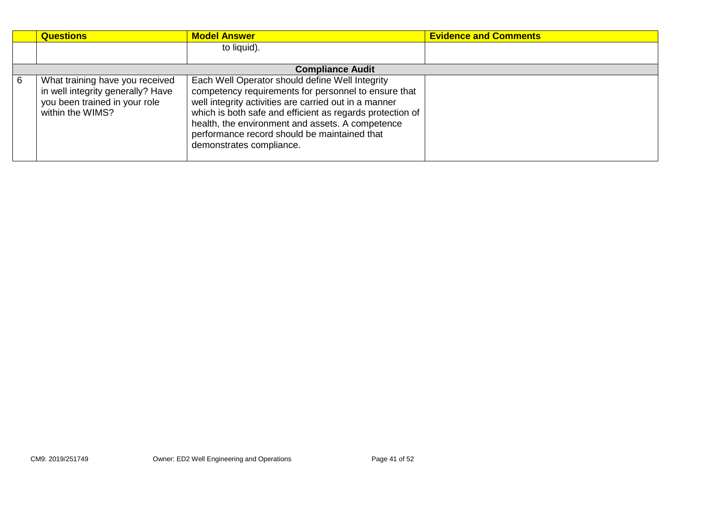|   | <b>Questions</b>                                                                                                          | <b>Model Answer</b>                                                                                                                                                                                                                                                                                                                                           | <b>Evidence and Comments</b> |
|---|---------------------------------------------------------------------------------------------------------------------------|---------------------------------------------------------------------------------------------------------------------------------------------------------------------------------------------------------------------------------------------------------------------------------------------------------------------------------------------------------------|------------------------------|
|   |                                                                                                                           | to liquid).                                                                                                                                                                                                                                                                                                                                                   |                              |
|   |                                                                                                                           |                                                                                                                                                                                                                                                                                                                                                               |                              |
|   |                                                                                                                           | <b>Compliance Audit</b>                                                                                                                                                                                                                                                                                                                                       |                              |
| 6 | What training have you received<br>in well integrity generally? Have<br>you been trained in your role<br>within the WIMS? | Each Well Operator should define Well Integrity<br>competency requirements for personnel to ensure that<br>well integrity activities are carried out in a manner<br>which is both safe and efficient as regards protection of<br>health, the environment and assets. A competence<br>performance record should be maintained that<br>demonstrates compliance. |                              |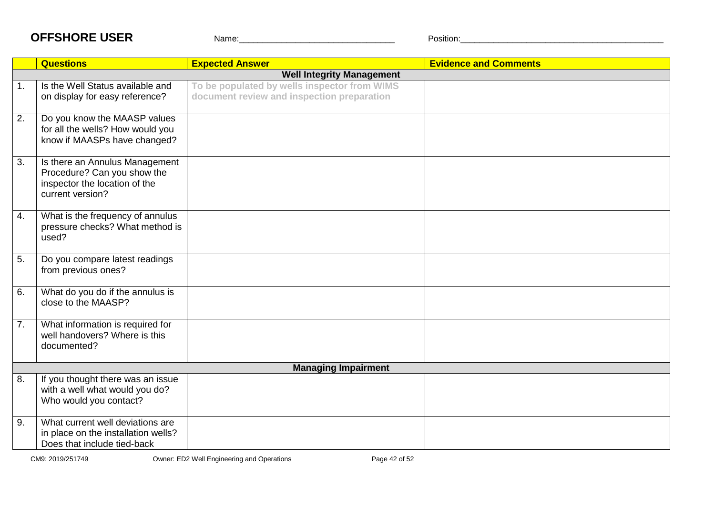## **OFFSHORE USER** Name: Name: Position:

|    | <b>Questions</b>                                                                                                   | <b>Expected Answer</b>                                                                     | <b>Evidence and Comments</b> |  |
|----|--------------------------------------------------------------------------------------------------------------------|--------------------------------------------------------------------------------------------|------------------------------|--|
|    | <b>Well Integrity Management</b>                                                                                   |                                                                                            |                              |  |
| 1. | Is the Well Status available and<br>on display for easy reference?                                                 | To be populated by wells inspector from WIMS<br>document review and inspection preparation |                              |  |
| 2. | Do you know the MAASP values<br>for all the wells? How would you<br>know if MAASPs have changed?                   |                                                                                            |                              |  |
| 3. | Is there an Annulus Management<br>Procedure? Can you show the<br>inspector the location of the<br>current version? |                                                                                            |                              |  |
| 4. | What is the frequency of annulus<br>pressure checks? What method is<br>used?                                       |                                                                                            |                              |  |
| 5. | Do you compare latest readings<br>from previous ones?                                                              |                                                                                            |                              |  |
| 6. | What do you do if the annulus is<br>close to the MAASP?                                                            |                                                                                            |                              |  |
| 7. | What information is required for<br>well handovers? Where is this<br>documented?                                   |                                                                                            |                              |  |
|    |                                                                                                                    | <b>Managing Impairment</b>                                                                 |                              |  |
| 8. | If you thought there was an issue<br>with a well what would you do?<br>Who would you contact?                      |                                                                                            |                              |  |
| 9. | What current well deviations are<br>in place on the installation wells?<br>Does that include tied-back             |                                                                                            |                              |  |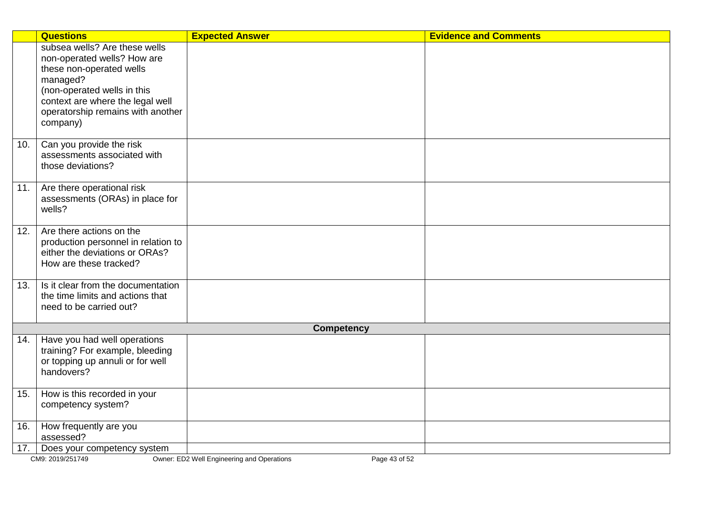|     | <b>Questions</b>                                                                | <b>Expected Answer</b> | <b>Evidence and Comments</b> |  |  |  |  |  |  |
|-----|---------------------------------------------------------------------------------|------------------------|------------------------------|--|--|--|--|--|--|
|     | subsea wells? Are these wells                                                   |                        |                              |  |  |  |  |  |  |
|     | non-operated wells? How are                                                     |                        |                              |  |  |  |  |  |  |
|     | these non-operated wells<br>managed?                                            |                        |                              |  |  |  |  |  |  |
|     | (non-operated wells in this                                                     |                        |                              |  |  |  |  |  |  |
|     | context are where the legal well                                                |                        |                              |  |  |  |  |  |  |
|     | operatorship remains with another                                               |                        |                              |  |  |  |  |  |  |
|     | company)                                                                        |                        |                              |  |  |  |  |  |  |
|     |                                                                                 |                        |                              |  |  |  |  |  |  |
| 10. | Can you provide the risk                                                        |                        |                              |  |  |  |  |  |  |
|     | assessments associated with<br>those deviations?                                |                        |                              |  |  |  |  |  |  |
|     |                                                                                 |                        |                              |  |  |  |  |  |  |
| 11. | Are there operational risk                                                      |                        |                              |  |  |  |  |  |  |
|     | assessments (ORAs) in place for                                                 |                        |                              |  |  |  |  |  |  |
|     | wells?                                                                          |                        |                              |  |  |  |  |  |  |
| 12. | Are there actions on the                                                        |                        |                              |  |  |  |  |  |  |
|     | production personnel in relation to                                             |                        |                              |  |  |  |  |  |  |
|     | either the deviations or ORAs?                                                  |                        |                              |  |  |  |  |  |  |
|     | How are these tracked?                                                          |                        |                              |  |  |  |  |  |  |
| 13. | Is it clear from the documentation                                              |                        |                              |  |  |  |  |  |  |
|     | the time limits and actions that                                                |                        |                              |  |  |  |  |  |  |
|     | need to be carried out?                                                         |                        |                              |  |  |  |  |  |  |
|     | <b>Competency</b>                                                               |                        |                              |  |  |  |  |  |  |
| 14. | Have you had well operations                                                    |                        |                              |  |  |  |  |  |  |
|     | training? For example, bleeding                                                 |                        |                              |  |  |  |  |  |  |
|     | or topping up annuli or for well                                                |                        |                              |  |  |  |  |  |  |
|     | handovers?                                                                      |                        |                              |  |  |  |  |  |  |
| 15. | How is this recorded in your                                                    |                        |                              |  |  |  |  |  |  |
|     | competency system?                                                              |                        |                              |  |  |  |  |  |  |
| 16. | How frequently are you                                                          |                        |                              |  |  |  |  |  |  |
|     | assessed?                                                                       |                        |                              |  |  |  |  |  |  |
| 17. | Does your competency system                                                     |                        |                              |  |  |  |  |  |  |
|     | CM9: 2019/251749<br>Owner: ED2 Well Engineering and Operations<br>Page 43 of 52 |                        |                              |  |  |  |  |  |  |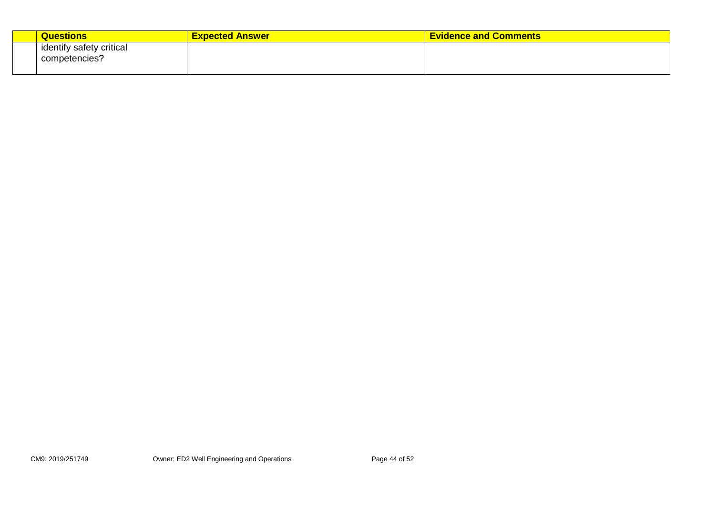| Questions                                 | <b>Expected Answer</b> | <b>Evidence and Comments</b> |
|-------------------------------------------|------------------------|------------------------------|
| identify safety critical<br>competencies? |                        |                              |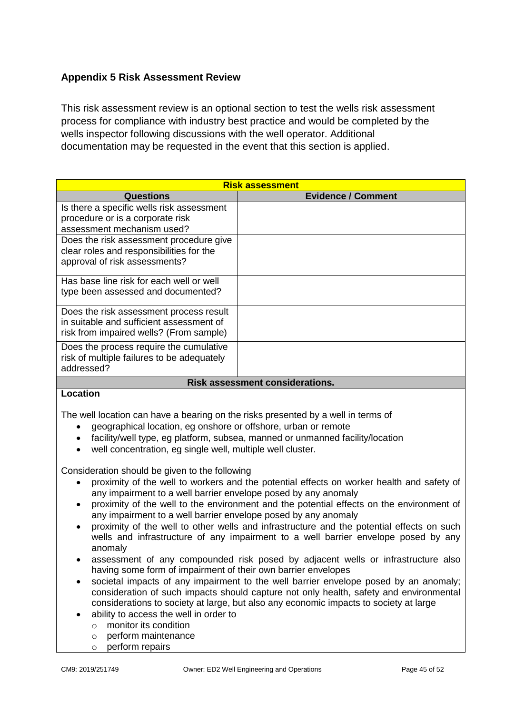#### <span id="page-44-0"></span>**Appendix 5 Risk Assessment Review**

This risk assessment review is an optional section to test the wells risk assessment process for compliance with industry best practice and would be completed by the wells inspector following discussions with the well operator. Additional documentation may be requested in the event that this section is applied.

| <b>Risk assessment</b>                                                         |                           |  |  |  |  |
|--------------------------------------------------------------------------------|---------------------------|--|--|--|--|
| <b>Questions</b>                                                               | <b>Evidence / Comment</b> |  |  |  |  |
| Is there a specific wells risk assessment                                      |                           |  |  |  |  |
| procedure or is a corporate risk                                               |                           |  |  |  |  |
| assessment mechanism used?                                                     |                           |  |  |  |  |
| Does the risk assessment procedure give                                        |                           |  |  |  |  |
| clear roles and responsibilities for the                                       |                           |  |  |  |  |
| approval of risk assessments?                                                  |                           |  |  |  |  |
|                                                                                |                           |  |  |  |  |
| Has base line risk for each well or well<br>type been assessed and documented? |                           |  |  |  |  |
|                                                                                |                           |  |  |  |  |
| Does the risk assessment process result                                        |                           |  |  |  |  |
| in suitable and sufficient assessment of                                       |                           |  |  |  |  |
| risk from impaired wells? (From sample)                                        |                           |  |  |  |  |
| Does the process require the cumulative                                        |                           |  |  |  |  |
| risk of multiple failures to be adequately                                     |                           |  |  |  |  |
| addressed?                                                                     |                           |  |  |  |  |
| <b>Risk assessment considerations.</b>                                         |                           |  |  |  |  |
| Location                                                                       |                           |  |  |  |  |

#### **Location**

The well location can have a bearing on the risks presented by a well in terms of

- geographical location, eg onshore or offshore, urban or remote
- facility/well type, eg platform, subsea, manned or unmanned facility/location
- well concentration, eg single well, multiple well cluster.

Consideration should be given to the following

- proximity of the well to workers and the potential effects on worker health and safety of any impairment to a well barrier envelope posed by any anomaly
- proximity of the well to the environment and the potential effects on the environment of any impairment to a well barrier envelope posed by any anomaly
- proximity of the well to other wells and infrastructure and the potential effects on such wells and infrastructure of any impairment to a well barrier envelope posed by any anomaly
- assessment of any compounded risk posed by adjacent wells or infrastructure also having some form of impairment of their own barrier envelopes
- societal impacts of any impairment to the well barrier envelope posed by an anomaly; consideration of such impacts should capture not only health, safety and environmental considerations to society at large, but also any economic impacts to society at large
- ability to access the well in order to
	- o monitor its condition
	- o perform maintenance
	- o perform repairs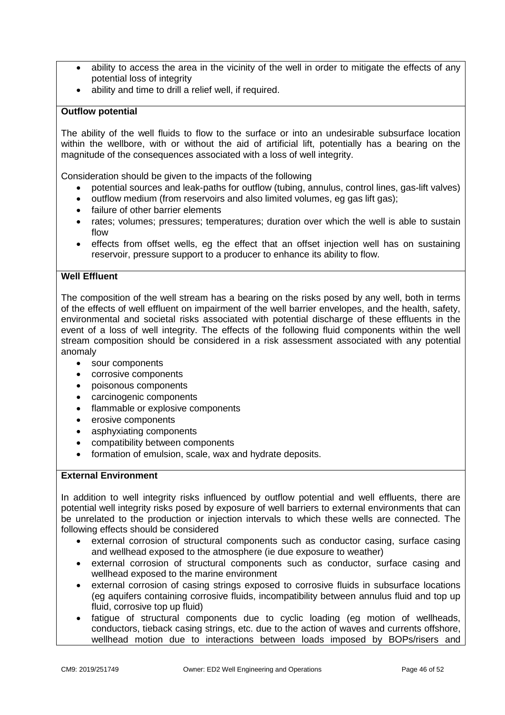- ability to access the area in the vicinity of the well in order to mitigate the effects of any potential loss of integrity
- ability and time to drill a relief well, if required.

#### **Outflow potential**

The ability of the well fluids to flow to the surface or into an undesirable subsurface location within the wellbore, with or without the aid of artificial lift, potentially has a bearing on the magnitude of the consequences associated with a loss of well integrity.

Consideration should be given to the impacts of the following

- potential sources and leak-paths for outflow (tubing, annulus, control lines, gas-lift valves)
- outflow medium (from reservoirs and also limited volumes, eg gas lift gas);
- failure of other barrier elements
- rates; volumes; pressures; temperatures; duration over which the well is able to sustain flow
- effects from offset wells, eg the effect that an offset injection well has on sustaining reservoir, pressure support to a producer to enhance its ability to flow.

#### **Well Effluent**

The composition of the well stream has a bearing on the risks posed by any well, both in terms of the effects of well effluent on impairment of the well barrier envelopes, and the health, safety, environmental and societal risks associated with potential discharge of these effluents in the event of a loss of well integrity. The effects of the following fluid components within the well stream composition should be considered in a risk assessment associated with any potential anomaly

- sour components
- corrosive components
- poisonous components
- carcinogenic components
- flammable or explosive components
- erosive components
- asphyxiating components
- compatibility between components
- formation of emulsion, scale, wax and hydrate deposits.

#### **External Environment**

In addition to well integrity risks influenced by outflow potential and well effluents, there are potential well integrity risks posed by exposure of well barriers to external environments that can be unrelated to the production or injection intervals to which these wells are connected. The following effects should be considered

- external corrosion of structural components such as conductor casing, surface casing and wellhead exposed to the atmosphere (ie due exposure to weather)
- external corrosion of structural components such as conductor, surface casing and wellhead exposed to the marine environment
- external corrosion of casing strings exposed to corrosive fluids in subsurface locations (eg aquifers containing corrosive fluids, incompatibility between annulus fluid and top up fluid, corrosive top up fluid)
- fatigue of structural components due to cyclic loading (eg motion of wellheads, conductors, tieback casing strings, etc. due to the action of waves and currents offshore, wellhead motion due to interactions between loads imposed by BOPs/risers and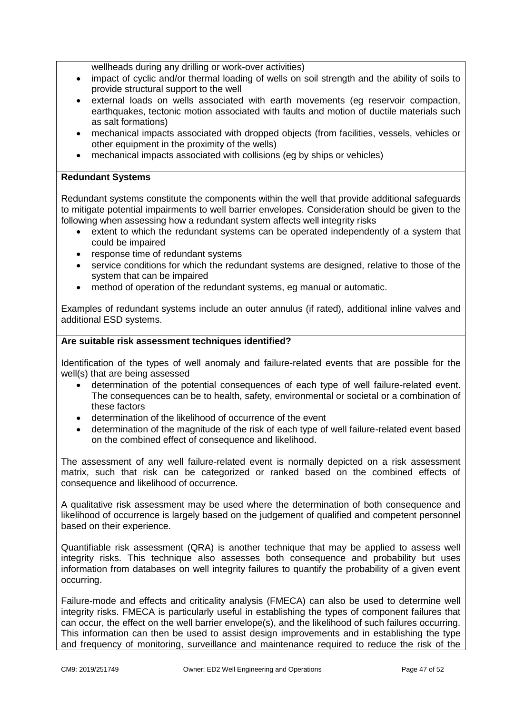wellheads during any drilling or work-over activities)

- impact of cyclic and/or thermal loading of wells on soil strength and the ability of soils to provide structural support to the well
- external loads on wells associated with earth movements (eg reservoir compaction, earthquakes, tectonic motion associated with faults and motion of ductile materials such as salt formations)
- mechanical impacts associated with dropped objects (from facilities, vessels, vehicles or other equipment in the proximity of the wells)
- mechanical impacts associated with collisions (eg by ships or vehicles)

#### **Redundant Systems**

Redundant systems constitute the components within the well that provide additional safeguards to mitigate potential impairments to well barrier envelopes. Consideration should be given to the following when assessing how a redundant system affects well integrity risks

- extent to which the redundant systems can be operated independently of a system that could be impaired
- response time of redundant systems
- service conditions for which the redundant systems are designed, relative to those of the system that can be impaired
- method of operation of the redundant systems, eg manual or automatic.

Examples of redundant systems include an outer annulus (if rated), additional inline valves and additional ESD systems.

#### **Are suitable risk assessment techniques identified?**

Identification of the types of well anomaly and failure-related events that are possible for the well(s) that are being assessed

- determination of the potential consequences of each type of well failure-related event. The consequences can be to health, safety, environmental or societal or a combination of these factors
- determination of the likelihood of occurrence of the event
- determination of the magnitude of the risk of each type of well failure-related event based on the combined effect of consequence and likelihood.

The assessment of any well failure-related event is normally depicted on a risk assessment matrix, such that risk can be categorized or ranked based on the combined effects of consequence and likelihood of occurrence.

A qualitative risk assessment may be used where the determination of both consequence and likelihood of occurrence is largely based on the judgement of qualified and competent personnel based on their experience.

Quantifiable risk assessment (QRA) is another technique that may be applied to assess well integrity risks. This technique also assesses both consequence and probability but uses information from databases on well integrity failures to quantify the probability of a given event occurring.

Failure-mode and effects and criticality analysis (FMECA) can also be used to determine well integrity risks. FMECA is particularly useful in establishing the types of component failures that can occur, the effect on the well barrier envelope(s), and the likelihood of such failures occurring. This information can then be used to assist design improvements and in establishing the type and frequency of monitoring, surveillance and maintenance required to reduce the risk of the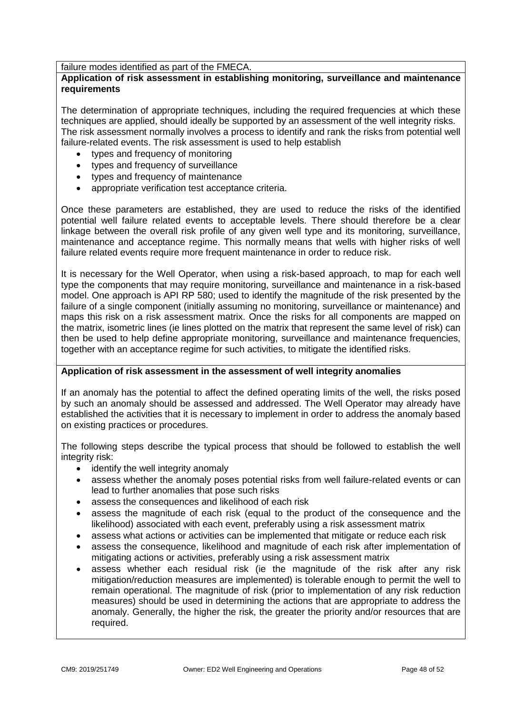failure modes identified as part of the FMECA.

#### **Application of risk assessment in establishing monitoring, surveillance and maintenance requirements**

The determination of appropriate techniques, including the required frequencies at which these techniques are applied, should ideally be supported by an assessment of the well integrity risks. The risk assessment normally involves a process to identify and rank the risks from potential well failure-related events. The risk assessment is used to help establish

- types and frequency of monitoring
- types and frequency of surveillance
- types and frequency of maintenance
- appropriate verification test acceptance criteria.

Once these parameters are established, they are used to reduce the risks of the identified potential well failure related events to acceptable levels. There should therefore be a clear linkage between the overall risk profile of any given well type and its monitoring, surveillance, maintenance and acceptance regime. This normally means that wells with higher risks of well failure related events require more frequent maintenance in order to reduce risk.

It is necessary for the Well Operator, when using a risk-based approach, to map for each well type the components that may require monitoring, surveillance and maintenance in a risk-based model. One approach is API RP 580; used to identify the magnitude of the risk presented by the failure of a single component (initially assuming no monitoring, surveillance or maintenance) and maps this risk on a risk assessment matrix. Once the risks for all components are mapped on the matrix, isometric lines (ie lines plotted on the matrix that represent the same level of risk) can then be used to help define appropriate monitoring, surveillance and maintenance frequencies, together with an acceptance regime for such activities, to mitigate the identified risks.

#### **Application of risk assessment in the assessment of well integrity anomalies**

If an anomaly has the potential to affect the defined operating limits of the well, the risks posed by such an anomaly should be assessed and addressed. The Well Operator may already have established the activities that it is necessary to implement in order to address the anomaly based on existing practices or procedures.

The following steps describe the typical process that should be followed to establish the well integrity risk:

- identify the well integrity anomaly
- assess whether the anomaly poses potential risks from well failure-related events or can lead to further anomalies that pose such risks
- assess the consequences and likelihood of each risk
- assess the magnitude of each risk (equal to the product of the consequence and the likelihood) associated with each event, preferably using a risk assessment matrix
- assess what actions or activities can be implemented that mitigate or reduce each risk
- assess the consequence, likelihood and magnitude of each risk after implementation of mitigating actions or activities, preferably using a risk assessment matrix
- assess whether each residual risk (ie the magnitude of the risk after any risk mitigation/reduction measures are implemented) is tolerable enough to permit the well to remain operational. The magnitude of risk (prior to implementation of any risk reduction measures) should be used in determining the actions that are appropriate to address the anomaly. Generally, the higher the risk, the greater the priority and/or resources that are required.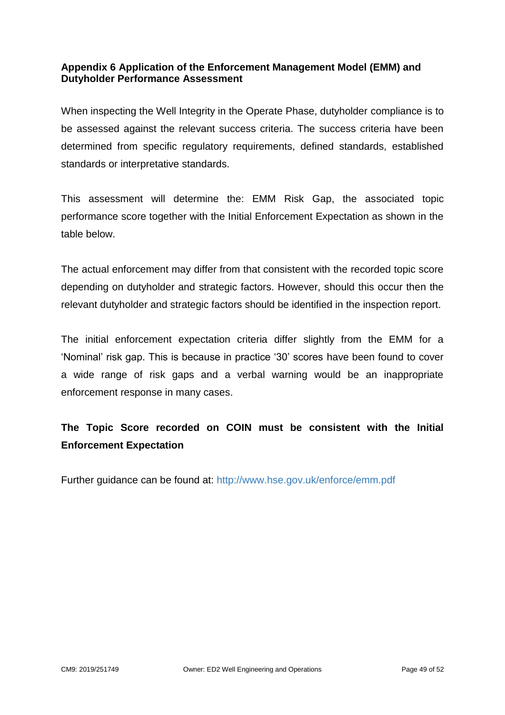#### <span id="page-48-0"></span>**Appendix 6 Application of the Enforcement Management Model (EMM) and Dutyholder Performance Assessment**

When inspecting the Well Integrity in the Operate Phase, dutyholder compliance is to be assessed against the relevant success criteria. The success criteria have been determined from specific regulatory requirements, defined standards, established standards or interpretative standards.

This assessment will determine the: EMM Risk Gap, the associated topic performance score together with the Initial Enforcement Expectation as shown in the table below.

The actual enforcement may differ from that consistent with the recorded topic score depending on dutyholder and strategic factors. However, should this occur then the relevant dutyholder and strategic factors should be identified in the inspection report.

The initial enforcement expectation criteria differ slightly from the EMM for a 'Nominal' risk gap. This is because in practice '30' scores have been found to cover a wide range of risk gaps and a verbal warning would be an inappropriate enforcement response in many cases.

## **The Topic Score recorded on COIN must be consistent with the Initial Enforcement Expectation**

Further guidance can be found at:<http://www.hse.gov.uk/enforce/emm.pdf>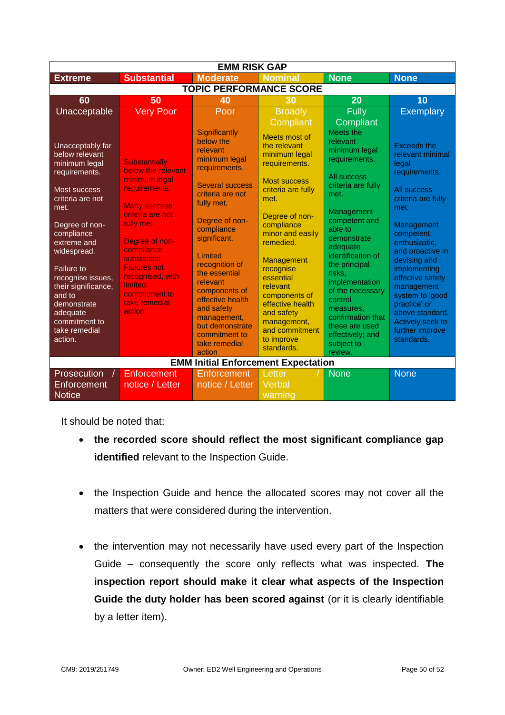| <b>EMM RISK GAP</b>                                                                                                                                                                                                                                                                                                               |                                                                                                                                                                                                                                                                                          |                                                                                                                                                                                                                                                                                                                                                      |                                                                                                                                                                                                                                                                                                                                      |                                                                                                                                                                                                                                                                                                                                                    |                                                                                                                                                                                                                                                                                                                                                             |  |  |  |  |
|-----------------------------------------------------------------------------------------------------------------------------------------------------------------------------------------------------------------------------------------------------------------------------------------------------------------------------------|------------------------------------------------------------------------------------------------------------------------------------------------------------------------------------------------------------------------------------------------------------------------------------------|------------------------------------------------------------------------------------------------------------------------------------------------------------------------------------------------------------------------------------------------------------------------------------------------------------------------------------------------------|--------------------------------------------------------------------------------------------------------------------------------------------------------------------------------------------------------------------------------------------------------------------------------------------------------------------------------------|----------------------------------------------------------------------------------------------------------------------------------------------------------------------------------------------------------------------------------------------------------------------------------------------------------------------------------------------------|-------------------------------------------------------------------------------------------------------------------------------------------------------------------------------------------------------------------------------------------------------------------------------------------------------------------------------------------------------------|--|--|--|--|
| <b>Extreme</b>                                                                                                                                                                                                                                                                                                                    | <b>Substantial</b>                                                                                                                                                                                                                                                                       | <b>Moderate</b>                                                                                                                                                                                                                                                                                                                                      | <b>Nominal</b>                                                                                                                                                                                                                                                                                                                       | <b>None</b>                                                                                                                                                                                                                                                                                                                                        | <b>None</b>                                                                                                                                                                                                                                                                                                                                                 |  |  |  |  |
| <b>TOPIC PERFORMANCE SCORE</b>                                                                                                                                                                                                                                                                                                    |                                                                                                                                                                                                                                                                                          |                                                                                                                                                                                                                                                                                                                                                      |                                                                                                                                                                                                                                                                                                                                      |                                                                                                                                                                                                                                                                                                                                                    |                                                                                                                                                                                                                                                                                                                                                             |  |  |  |  |
| 60                                                                                                                                                                                                                                                                                                                                | 50                                                                                                                                                                                                                                                                                       | 40                                                                                                                                                                                                                                                                                                                                                   | 30                                                                                                                                                                                                                                                                                                                                   | 20                                                                                                                                                                                                                                                                                                                                                 | 10                                                                                                                                                                                                                                                                                                                                                          |  |  |  |  |
| Unacceptable                                                                                                                                                                                                                                                                                                                      | <b>Very Poor</b>                                                                                                                                                                                                                                                                         | Poor                                                                                                                                                                                                                                                                                                                                                 | <b>Broadly</b>                                                                                                                                                                                                                                                                                                                       | <b>Fully</b>                                                                                                                                                                                                                                                                                                                                       | <b>Exemplary</b>                                                                                                                                                                                                                                                                                                                                            |  |  |  |  |
|                                                                                                                                                                                                                                                                                                                                   |                                                                                                                                                                                                                                                                                          |                                                                                                                                                                                                                                                                                                                                                      | Compliant                                                                                                                                                                                                                                                                                                                            | <b>Compliant</b>                                                                                                                                                                                                                                                                                                                                   |                                                                                                                                                                                                                                                                                                                                                             |  |  |  |  |
| Unacceptably far<br>below relevant<br>minimum legal<br>requirements.<br>Most success<br>criteria are not<br>met.<br>Degree of non-<br>compliance<br>extreme and<br>widespread.<br><b>Failure to</b><br>recognise issues,<br>their significance,<br>and to<br>demonstrate<br>adequate<br>commitment to<br>take remedial<br>action. | <b>Substantially</b><br>below the relevant<br>minimum legal<br>requirements.<br><b>Many success</b><br>criteria are not<br>fully met.<br>Degree of non-<br>compliance<br>substantial.<br><b>Failures not</b><br>recognised, with<br>limited<br>commitment to<br>take remedial<br>action. | Significantly<br>below the<br>relevant<br>minimum legal<br>requirements.<br><b>Several success</b><br>criteria are not<br>fully met.<br>Degree of non-<br>compliance<br>significant.<br>Limited<br>recognition of<br>the essential<br>relevant<br>components of<br>effective health<br>and safety<br>management,<br>but demonstrate<br>commitment to | Meets most of<br>the relevant<br>minimum legal<br>requirements.<br>Most success<br>criteria are fully<br>met.<br>Degree of non-<br>compliance<br>minor and easily<br>remedied.<br>Management<br>recognise<br>essential<br>relevant<br>components of<br>effective health<br>and safety<br>management,<br>and commitment<br>to improve | Meets the<br>relevant<br>minimum legal<br>requirements.<br>All success<br>criteria are fully<br>met.<br>Management<br>competent and<br>able to<br>demonstrate<br>adequate<br>identification of<br>the principal<br>risks.<br>implementation<br>of the necessary<br>control<br>measures.<br>confirmation that<br>these are used<br>effectively; and | <b>Exceeds the</b><br>relevant minimal<br>legal<br>requirements.<br>All success<br>criteria are fully<br>met.<br>Management<br>competent,<br>enthusiastic,<br>and proactive in<br>devising and<br>implementing<br>effective safety<br>management<br>system to 'good<br>practice' or<br>above standard.<br>Actively seek to<br>further improve<br>standards. |  |  |  |  |
|                                                                                                                                                                                                                                                                                                                                   |                                                                                                                                                                                                                                                                                          | take remedial<br>action                                                                                                                                                                                                                                                                                                                              | standards.                                                                                                                                                                                                                                                                                                                           | subject to<br>review.                                                                                                                                                                                                                                                                                                                              |                                                                                                                                                                                                                                                                                                                                                             |  |  |  |  |
| <b>EMM Initial Enforcement Expectation</b>                                                                                                                                                                                                                                                                                        |                                                                                                                                                                                                                                                                                          |                                                                                                                                                                                                                                                                                                                                                      |                                                                                                                                                                                                                                                                                                                                      |                                                                                                                                                                                                                                                                                                                                                    |                                                                                                                                                                                                                                                                                                                                                             |  |  |  |  |
| Prosecution                                                                                                                                                                                                                                                                                                                       | <b>Enforcement</b>                                                                                                                                                                                                                                                                       | Enforcement                                                                                                                                                                                                                                                                                                                                          | Letter                                                                                                                                                                                                                                                                                                                               | <b>None</b>                                                                                                                                                                                                                                                                                                                                        | None                                                                                                                                                                                                                                                                                                                                                        |  |  |  |  |
| Enforcement                                                                                                                                                                                                                                                                                                                       | notice / Letter                                                                                                                                                                                                                                                                          | notice / Letter                                                                                                                                                                                                                                                                                                                                      | Verbal                                                                                                                                                                                                                                                                                                                               |                                                                                                                                                                                                                                                                                                                                                    |                                                                                                                                                                                                                                                                                                                                                             |  |  |  |  |
| <b>Notice</b>                                                                                                                                                                                                                                                                                                                     |                                                                                                                                                                                                                                                                                          |                                                                                                                                                                                                                                                                                                                                                      | warning                                                                                                                                                                                                                                                                                                                              |                                                                                                                                                                                                                                                                                                                                                    |                                                                                                                                                                                                                                                                                                                                                             |  |  |  |  |

It should be noted that:

- **the recorded score should reflect the most significant compliance gap identified** relevant to the Inspection Guide.
- the Inspection Guide and hence the allocated scores may not cover all the matters that were considered during the intervention.
- the intervention may not necessarily have used every part of the Inspection Guide – consequently the score only reflects what was inspected. **The inspection report should make it clear what aspects of the Inspection Guide the duty holder has been scored against** (or it is clearly identifiable by a letter item).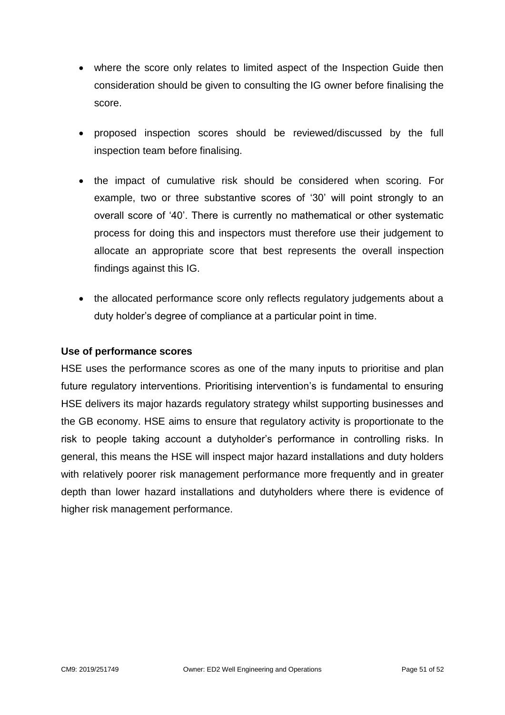- where the score only relates to limited aspect of the Inspection Guide then consideration should be given to consulting the IG owner before finalising the score.
- proposed inspection scores should be reviewed/discussed by the full inspection team before finalising.
- the impact of cumulative risk should be considered when scoring. For example, two or three substantive scores of '30' will point strongly to an overall score of '40'. There is currently no mathematical or other systematic process for doing this and inspectors must therefore use their judgement to allocate an appropriate score that best represents the overall inspection findings against this IG.
- the allocated performance score only reflects regulatory judgements about a duty holder's degree of compliance at a particular point in time.

#### **Use of performance scores**

HSE uses the performance scores as one of the many inputs to prioritise and plan future regulatory interventions. Prioritising intervention's is fundamental to ensuring HSE delivers its major hazards regulatory strategy whilst supporting businesses and the GB economy. HSE aims to ensure that regulatory activity is proportionate to the risk to people taking account a dutyholder's performance in controlling risks. In general, this means the HSE will inspect major hazard installations and duty holders with relatively poorer risk management performance more frequently and in greater depth than lower hazard installations and dutyholders where there is evidence of higher risk management performance.